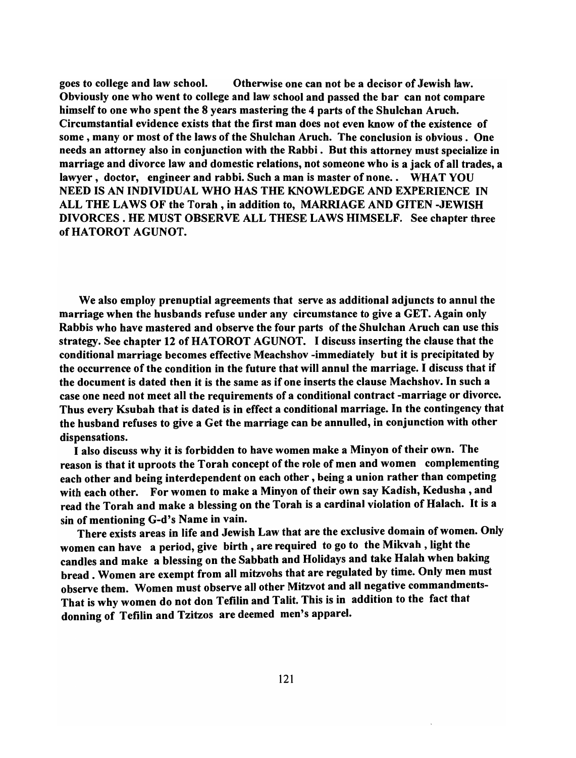goes to college and law school. Otherwise one can not be a decisor of Jewish law. Obviously one who went to college and law school and passed the bar can not compare himself to one who spent the 8 years mastering the 4 parts of the Shulchan Aruch. Circumstantial evidence exists that the first man does not even know of the existence of some, many or most of the laws of the Shulchan Aruch. The conclusion is obvious. One needs an attorney also in conjunction with the Rabbi. But this attorney must specialize in marriage and divorce law and domestic relations, not someone who is a jack of all trades, a lawyer, doctor, engineer and rabbi. Such a man is master of none.. WHAT YOU NEED IS AN INDIVIDUAL WHO HAS THE KNOWLEDGE AND EXPERIENCE IN ALL THE LAWS OF the Torah, in addition to, MARRIAGE AND GITEN -JEWISH DIVORCES. HE MUST OBSERVE ALL THESE LAWS HIMSELF. See chapter three ofHATOROT AGUNOT.

We also employ prenuptial agreements that serve as additional adjuncts to annul the marriage when the husbands refuse under any circumstance to give a GET. Again only Rabbis who have mastered and observe the four parts of the Shulchan Aruch can use this strategy. See chapter 12 of HATOROT AGUNOT. I discuss inserting the clause that the conditional marriage becomes effective Meachshov -immediately but it is precipitated by the occurrence of the condition in the future that will annul the marriage. I discuss that if the document is dated then it is the same as if one inserts the clause Machshov. In such a case one need not meet all the requirements of a conditional contract -marriage or divorce. Thus every Ksubah that is dated is in effect a conditional marriage. In the contingency that the husband refuses to give a Get the marriage can be annulled, in conjunction with other dispensations.

I also discuss why it is forbidden to have women make a Minyon of their own. The reason is that it uproots the Torah concept of the role of men and women complementing each other and being interdependent on each other, being a union rather than competing with each other. For women to make a Minyon of their own say Kadish, Kedusha , and read the Torah and make a blessing on the Torah is a cardinal violation of Halach. It is a sin of mentioning G-d's Name in vain.

There exists areas in life and Jewish Law that are the exclusive domain of women. Only women can have a period, give birth, are required to go to the Mikvah , light the candles and make a blessing on the Sabbath and Holidays and take Halah when baking bread. Women are exempt from all mitzvohs that are regulated by time. Only men must observe them. Women must observe all other Mitzvot and all negative commandments-That is why women do not don Tefilin and Talit. This is in addition to the fact that donning of Tefilin and Tzitzos are deemed men's apparel.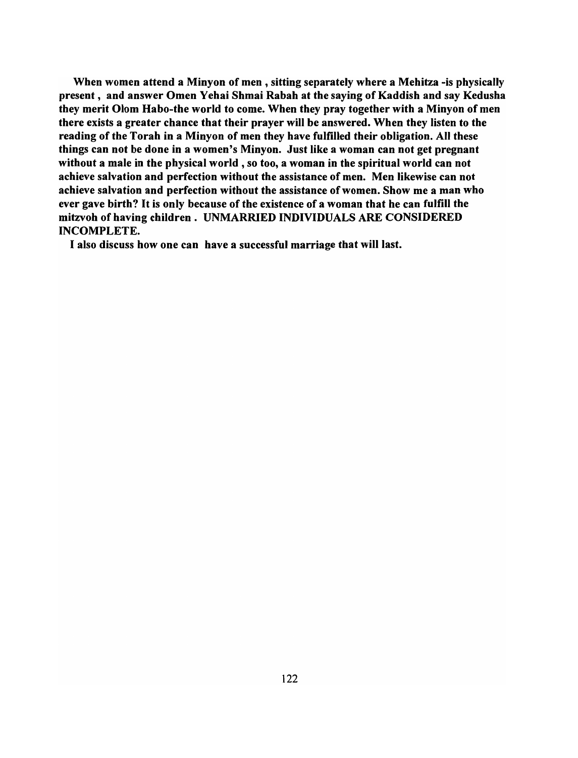When women attend a Minyon of men, sitting separately where a Mehitza -is physically present, and answer Omen Yehai Shmai Rabah at the saying of Kaddish and say Kedusha they merit Olom Habo-the world to come. When they pray together with a Minyon of men there exists a greater chance that their prayer will be answered. When they listen to the reading of the Torah in a Minyon of men they have fulfilled their obligation. All these things can not be done in a women's Minyon. Just like a woman can not get pregnant without a male in the physical world, so too, a woman in the spiritual world can not achieve salvation and perfection without the assistance of men. Men likewise can not achieve salvation and perfection without the assistance of women. Show me a man who ever gave birth? It is only because of the existence of a woman that he can fulfill the mitzvoh of having children. UNMARRIED INDIVIDUALS ARE CONSIDERED INCOMPLETE.

I also discuss how one can have a successful marriage that will last.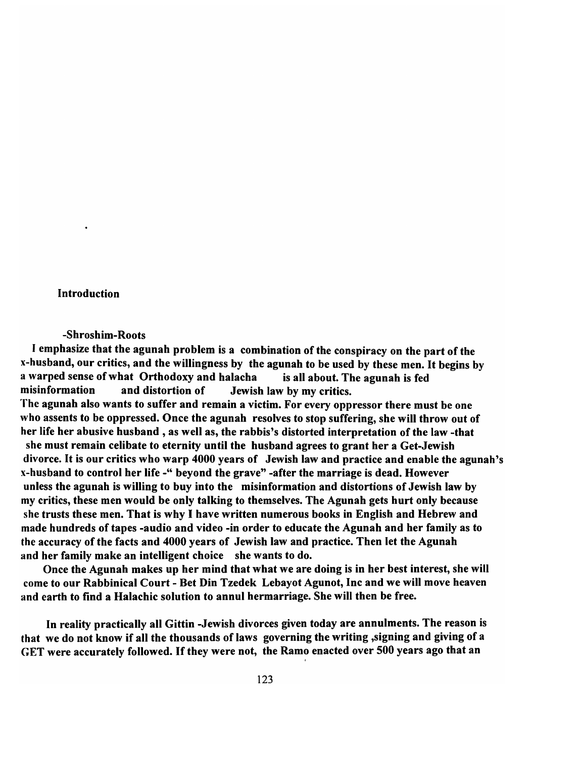### Introduction

#### -Shroshim-Roots

I emphasize that the agunah problem is a combination of the conspiracy on the part of the x-husband, our critics, and the willingness by the agunah to be used by these men. It begins by a warped sense of what Orthodoxy and halacha is all about. The agunah is fed misinformation and distortion of Jewish law by my critics. The agunah also wants to suffer and remain a victim. For every oppressor there must be one who assents to be oppressed. Once the agunah resolves to stop suffering, she will throw out of her life her abusive husband, as well as, the rabbis's distorted interpretation of the law -that she must remain celibate to eternity until the husband agrees to grant her a Get-Jewish divorce. It is our critics who warp 4000 years of Jewish law and practice and enable the agunah's x-husband to control her life -" beyond the grave" -after the marriage is dead. However unless the agunah is willing to buy into the misinformation and distortions of Jewish law by my critics, these men would be only talking to themselves. The Agunah gets hurt only because she trusts these men. That is why I have written numerous books in English and Hebrew and made hundreds of tapes -audio and video -in order to educate the Agunah and her family as to the accuracy of the facts and 4000 years of Jewish law and practice. Then let the Agunah and her family make an intelligent choice she wants to do.

Once the Agunah makes up her mind that what we are doing is in her best interest, she will come to our Rabbinical Court - Bet Din Tzedek Lebayot Agunot, Inc and we will move heaven and earth to find a Halachic solution to annul hermarriage. She will then be free.

In reality practically all Gittin -Jewish divorces given today are annulments. The reason is that we do not know if all the thousands of laws governing the writing ,signing and giving of a GET were accurately followed. If they were not, the Ramo enacted over 500 years ago that an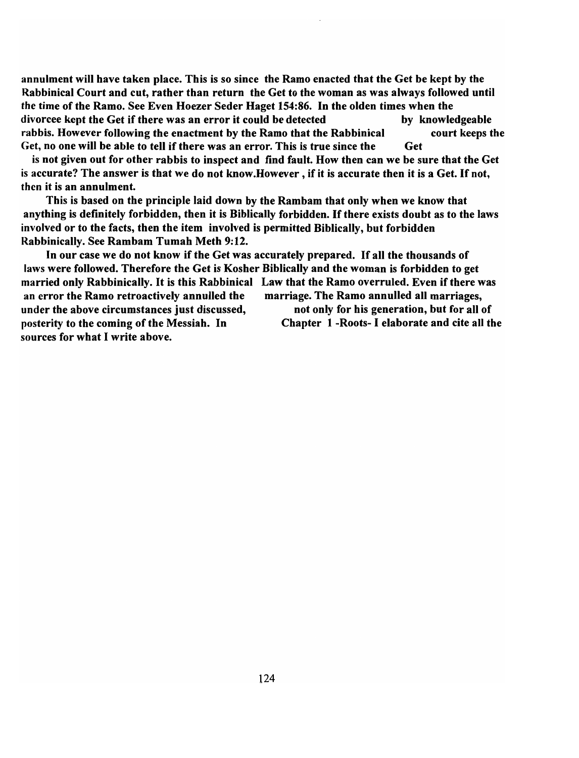annulment will have taken place. This is so since the Ramo enacted that the Get be kept by the Rabbinical Court and cut, rather than return the Get to the woman as was always followed until the time of the Ramo. See Even Hoezer Seder Haget 154:86. In the olden times when the divorcee kept the Get if there was an error it could be detected by knowledgeable rabbis. However following the enactment by the Ramo that the Rabbinical court keeps the Get, no one will be able to tell if there was an error. This is true since the Get

is not given out for other rabbis to inspect and find fault. How then can we be sure that the Get is accurate? The answer is that we do not know.However , if it is accurate then it is a Get. If not, then it is an annulment.

This is based on the principle laid down by the Rambam that only when we know that anything is definitely forbidden, then it is Biblically forbidden. If there exists doubt as to the laws involved or to the facts, then the item involved is permitted Biblically, but forbidden Rabbinically. See Rambam Tumah Meth 9:12.

In our case we do not know if the Get was accurately prepared. If all the thousands of laws were followed. Therefore the Get is Kosher Biblically and the woman is forbidden to get married only Rabbinically. It is this Rabbinical Law that the Ramo overruled. Even if there was an error the Ramo retroactively annulled the marriage. The Ramo annulled all marriages, under the above circumstances just discussed, help not only for his generation, but for all of posterity to the coming of the Messiah. In Chapter 1 -Roots- I elaborate and cite all the sources for what I write above.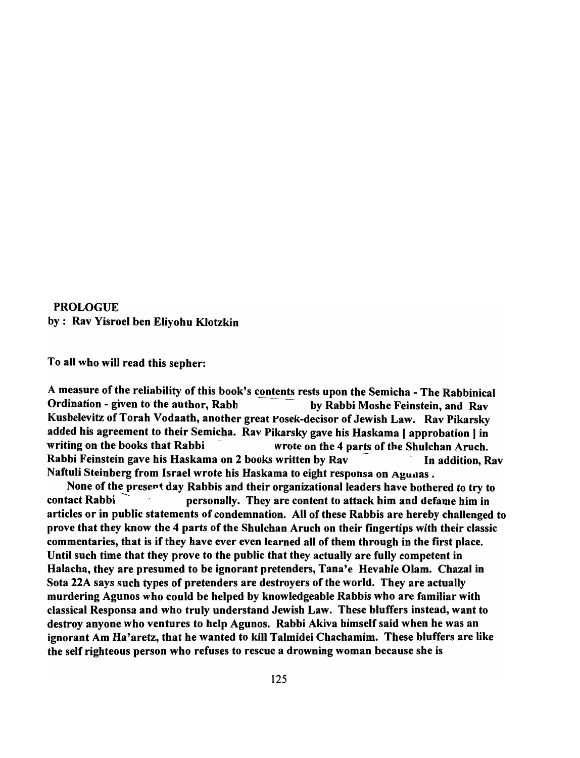# PROLOGUE by: Rav Yisroel ben Eliyohu Klotzkin

To all who will read this sepher:

A measure of the reliability of this book's contents rests upon the Semicha - The Rabbinical<br>Ordination - given to the author, Rabb by Rabbi Moshe Feinstein, and Rav Kushelevitz of Torah Vodaath, another great Posek-decisor of Jewish Law. Rav Pikarsky added his agreement to their Semicha. Rav Pikarsky gave his Haskama [ approbation] in writing on the books that Rabbi - wrote on the 4 parts of the Shulchan Aruch. Rabbi Feinstein gave his Haskama on 2 books written by Rav The addition, Rav Naftuli Steinberg from Israel wrote his Haskama to eight responsa on Agunas.

None of the present day Rabbis and their organizational leaders have bothered to try to  $\frac{1}{2}$  contact Rabbi  $\frac{1}{2}$  personally. They are content to attack him and defame him in articles or in public statements of condemnation. All of these Rabbis are hereby challenged to prove that they know the 4 parts of the Shulchan Aruch on their fingertips with their classic commentaries, that is if they have ever even learned all of them through in the first place. Until such time that they prove to the public that they actually are fully competent in Halacha, they are presumed to be ignorant pretenders, Tana'e Hevahle Olam. Chazal in Sota 22A says such types of pretenders are destroyers of the world. They are actually murdering Agunos who could be helped by knowledgeable Rabbis who are familiar with classical Responsa and who truly understand Jewish Law. These bluffers instead, want to destroy anyone who ventures to help Agunos. Rabbi Akiva himself said when he was an ignorant Am Ha'aretz, that he wanted to kill Talmidei Chachamim. These bluffers are like the self righteous person who refuses to rescue a drowning woman because she is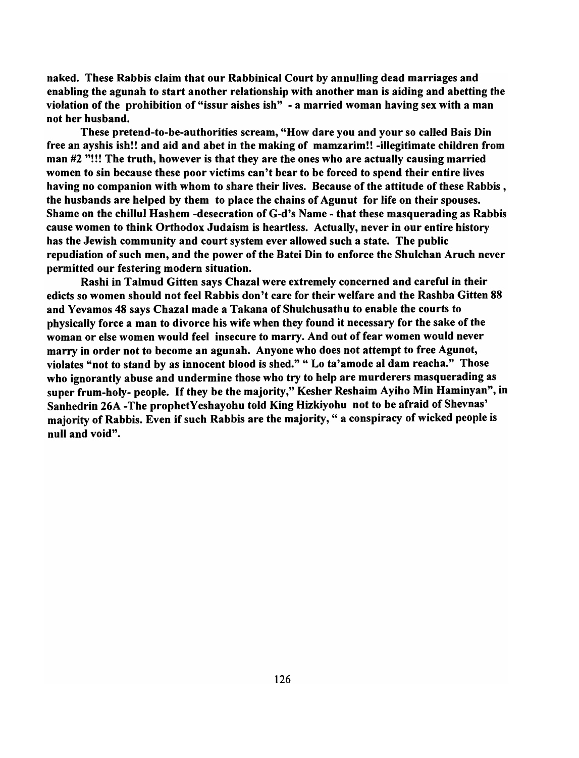naked. These Rabbis claim that our Rabbinical Court by annulling dead marriages and enabling the agunah to start another relationship with another man is aiding and abetting the violation of the prohibition of "issur aishes ish" - a married woman having sex with a man not her husband.

These pretend-to-be-authorities scream, "How dare you and your so called Dais Din free an ayshis ish!! and aid and abet in the making of mamzarim!! -illegitimate children from man #2 "!!! The truth, however is that they are the ones who are actually causing married women to sin because these poor victims can't bear to be forced to spend their entire lives having no companion with whom to share their lives. Because of the attitude of these Rabbis, the husbands are helped by them to place the chains of Agunut for life on their spouses. Shame on the chillul Hashem -desecration of G-d's Name - that these masquerading as Rabbis cause women to think Orthodox Judaism is heartless. Actually, never in our entire history has the Jewish community and court system ever allowed such a state. The public repudiation of such men, and the power of the Batei Din to enforce the Shulchan Aruch never permitted our festering modern situation.

Rashi in Talmud Gitten says Chazal were extremely concerned and careful in their edicts so women should not feel Rabbis don't care for their welfare and the Rashba Gitten 88 and Yevamos 48 says Chazal made a Takana of Shulchusathu to enable the courts to physically force a man to divorce his wife when they found it necessary for the sake of the woman or else women would feel insecure to marry. And out of fear women would never marry in order not to become an agunah. Anyone who does not attempt to free Agunot, violates "not to stand by as innocent blood is shed." " Lo ta'amode al dam reacha." Those who ignorantly abuse and undermine those who try to help are murderers masquerading as super frum-holy- people. If they be the majority," Kesher Reshaim Ayiho Min Haminyan", in Sanhedrin 26A -The prophetYeshayohu told King Hizkiyohu not to be afraid of Shevnas' majority of Rabbis. Even if such Rabbis are the majority, " a conspiracy of wicked people is null and void".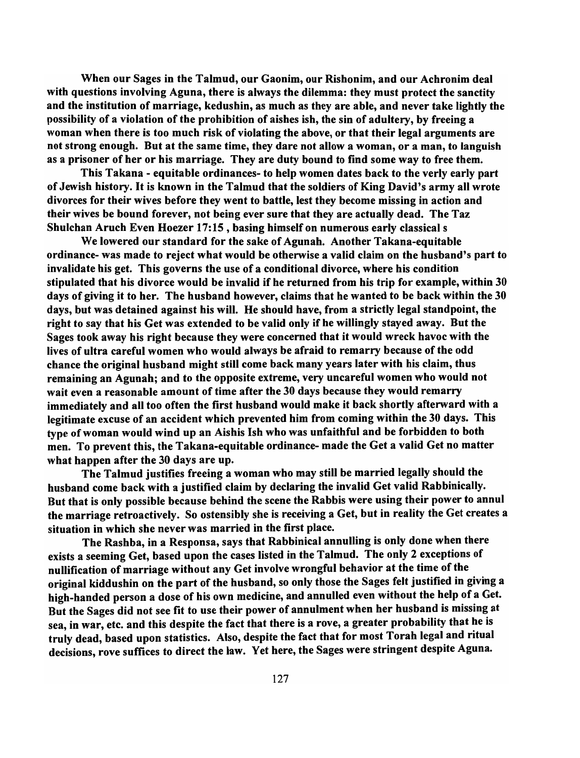When our Sages in the Talmud, our Gaonim, our Rishonim, and our Achronim deal with questions involving Aguna, there is always the dilemma: they must protect the sanctity and the institution of marriage, kedushin, as much as they are able, and never take lightly the possibility of a violation of the prohibition of aishes ish, the sin of adultery, by freeing a woman when there is too much risk of violating the above, or that their legal arguments are not strong enough. But at the same time, they dare not allow a woman, or a man, to languish as a prisoner of her or his marriage. They are duty bound to find some way to free them.

This Takana - equitable ordinances- to help women dates back to the verly early part of Jewish history. It is known in the Talmud that the soldiers of King David's army all wrote divorces for their wives before they went to battle, lest they become missing in action and their wives be bound forever, not being ever sure that they are actually dead. The Taz Shulchan Aruch Even Hoezer 17:15 , basing himself on numerous early classical s

We lowered our standard for the sake of Agunah. Another Takana-equitable ordinance- was made to reject what would be otherwise a valid claim on the husband's part to invalidate his get. This governs the use of a conditional divorce, where his condition stipulated that his divorce would be invalid if he returned from his trip for example, within 30 days of giving it to her. The husband however, claims that he wanted to be back within the 30 days, but was detained against his will. He should have, from a strictly legal standpoint, the right to say that his Get was extended to be valid only if he willingly stayed away. But the Sages took away his right because they were concerned that it would wreck havoc with the lives of ultra careful women who would always be afraid to remarry because of the odd chance the original husband might still come back many years later with his claim, thus remaining an Agunah; and to the opposite extreme, very uncareful women who would not wait even a reasonable amount of time after the 30 days because they would remarry immediately and all too often the first husband would make it back shortly afterward with a legitimate excuse of an accident which prevented him from coming within the 30 days. This type of woman would wind up an Aishis Ish who was unfaithful and be forbidden to both men. To prevent this, the Takana-equitable ordinance- made the Get a valid Get no matter what happen after the 30 days are up.

The Talmud justifies freeing a woman who may still be married legally should the husband come back with a justified claim by declaring the invalid Get valid Rabbinically. But that is only possible because behind the scene the Rabbis were using their power to annul the marriage retroactively. So ostensibly she is receiving a Get, but in reality the Get creates a situation in which she never was married in the first place.

The Rashba, in a Responsa, says that Rabbinical annulling is only done when there exists a seeming Get, based upon the cases listed in the Talmud. The only 2 exceptions of nullification of marriage without any Get involve wrongful behavior at the time of the original kiddushin on the part of the husband, so only those the Sages felt justified in giving a high-handed person a dose of his own medicine, and annulled even without the help of a Get. But the Sages did not see fit to use their power of annulment when her husband is missing at sea, in war, etc. and this despite the fact that there is a rove, a greater probability that he is truly dead, based upon statistics. Also, despite the fact that for most Torah legal and ritual decisions, rove suffices to direct the law. Yet here, the Sages were stringent despite Aguna.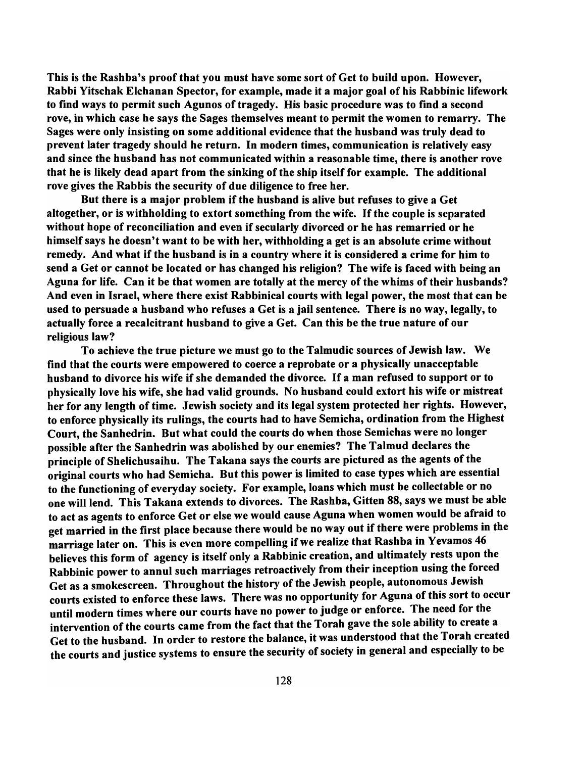This is the Rashba's proof that you must have some sort of Get to build upon. However, Rabbi Yitschak Elchanan Spector, for example, made it a major goal of his Rabbinic lifework to find ways to permit such Agunos of tragedy. His basic procedure was to find a second rove, in which case he says the Sages themselves meant to permit the women to remarry. The Sages were only insisting on some additional evidence that the husband was truly dead to prevent later tragedy should he return. In modern times, communication is relatively easy and since the husband has not communicated within a reasonable time, there is another rove that he is likely dead apart from the sinking of the ship itself for example. The additional rove gives the Rabbis the security of due diligence to free her.

But there is a major problem if the husband is alive but refuses to give a Get altogether, or is withholding to extort something from the wife. If the couple is separated without hope of reconciliation and even if secularly divorced or he has remarried or he himself says he doesn't want to be with her, withholding a get is an absolute crime without remedy. And what if the husband is in a country where it is considered a crime for him to send a Get or cannot be located or has changed his religion? The wife is faced with being an Aguna for life. Can it be that women are totally at the mercy of the whims of their husbands? And even in Israel, where there exist Rabbinical courts with legal power, the most that can be used to persuade a husband who refuses a Get is a jail sentence. There is no way, legally, to actually force a recalcitrant husband to give a Get. Can this be the true nature of our religious law?

To achieve the true picture we must go to the Talmudic sources of Jewish law. We find that the courts were empowered to coerce a reprobate or a physically unacceptable husband to divorce his wife if she demanded the divorce. If a man refused to support or to physically love his wife, she had valid grounds. No husband could extort his wife or mistreat her for any length of time. Jewish society and its legal system protected her rights. However, to enforce physically its rulings, the courts had to have Semicha, ordination from the Highest Court, the Sanhedrin. But what could the courts do when those Semichas were no longer possible after the Sanhedrin was abolished by our enemies? The Talmud declares the principle of Shelichusaihu. The Takana says the courts are pictured as the agents of the original courts who had Semicha. But this power is limited to case types which are essential to the functioning of everyday society. For example, loans which must be collectable or no one will lend. This Takana extends to divorces. The Rashba, Gitten 88, says we must be able to act as agents to enforce Get or else we would cause Aguna when women would be afraid to get married in the first place because there would be no way out if there were problems in the marriage later on. This is even more compelling if we realize that Rashba in Yevamos 46 believes this form of agency is itself only a Rabbinic creation, and ultimately rests upon the Rabbinic power to annul such marriages retroactively from their inception using the forced Get as a smokescreen. Throughout the history of the Jewish people, autonomous Jewish courts existed to enforce these laws. There was no opportunity for Aguna of this sort to occur until modern times where our courts have no power to judge or enforce. The need for the intervention of the courts came from the fact that the Torah gave the sole ability to create a Get to the husband. In order to restore the balance, it was understood that the Torah created the courts and justice systems to ensure the security of society in general and especially to be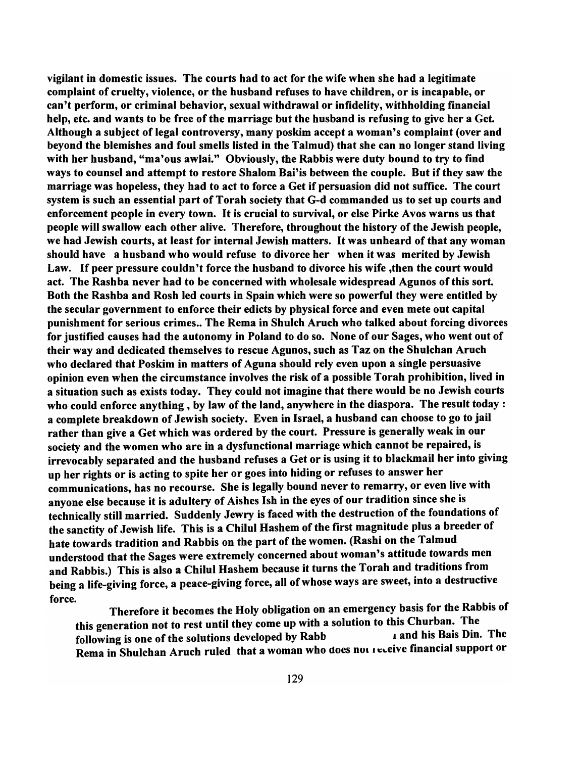vigilant in domestic issues. The courts had to act for the wife when she had a legitimate complaint of cruelty, violence, or the husband refuses to have children, or is incapable, or can't perform, or criminal behavior, sexual withdrawal or infidelity, withholding financial help, etc. and wants to be free of the marriage but the husband is refusing to give her a Get. Although a subject of legal controversy, many poskim accept a woman's complaint (over and beyond the blemishes and foul smells listed in the Talmud) that she can no longer stand living with her husband, "ma'ous awlai." Obviously, the Rabbis were duty bound to try to find ways to counsel and attempt to restore Shalom Bai'is between the couple. But if they saw the marriage was hopeless, they had to act to force a Get if persuasion did not suffice. The court system is such an essential part of Torah society that G-d commanded us to set up courts and enforcement people in every town. It is crucial to survival, or else Pirke Avos warns us that people will swallow each other alive. Therefore, throughout the history of the Jewish people, we had Jewish courts, at least for internal Jewish matters. It was unheard of that any woman should have a husband who would refuse to divorce her when it was merited by Jewish Law. If peer pressure couldn't force the husband to divorce his wife ,then the court would act. The Rashba never had to be concerned with wholesale widespread Agunos of this sort. Both the Rashba and Rosh led courts in Spain which were so powerful they were entitled by the secular government to enforce their edicts by physical force and even mete out capital punishment for serious crimes.. The Rema in Shulch Aruch who talked about forcing divorces for justified causes had the autonomy in Poland to do so. None of our Sages, who went out of their way and dedicated themselves to rescue Agunos, such as Taz on the Shulchan Aruch who declared that Poskim in matters of Aguna should rely even upon a single persuasive opinion even when the circumstance involves the risk of a possible Torah prohibition, lived in a situation such as exists today. They could not imagine that there would be no Jewish courts who could enforce anything, by law of the land, anywhere in the diaspora. The result today: a complete breakdown of Jewish society. Even in Israel, a husband can choose to go to jail rather than give a Get which was ordered by the court. Pressure is generally weak in our society and the women who are in a dysfunctional marriage which cannot be repaired, is irrevocably separated and the husband refuses a Get or is using it to blackmail her into giving up her rights or is acting to spite her or goes into hiding or refuses to answer her communications, has no recourse. She is legally bound never to remarry, or even live with anyone else because it is adultery of Aishes Ish in the eyes of our tradition since she is technically still married. Suddenly Jewry is faced with the destruction of the foundations of the sanctity of Jewish life. This is a Chilul Hashem of the first magnitude plus a breeder of hate towards tradition and Rabbis on the part of the women. (Rashi on the Talmud understood that the Sages were extremely concerned about woman's attitude towards men and Rabbis.) This is also a Chilul Hashem because it turns the Torah and traditions from being a life-giving force, a peace-giving force, all of whose ways are sweet, into a destructive force.

Therefore it becomes the Holy obligation on an emergency basis for the Rabbis of this generation not to rest until they come up with a solution to this Churban. The<br>following is one of the solutions developed by Rabb and his Bais Din. The following is one of the solutions developed by Rabb Rema in Shulchan Aruch ruled that a woman who does not receive financial support or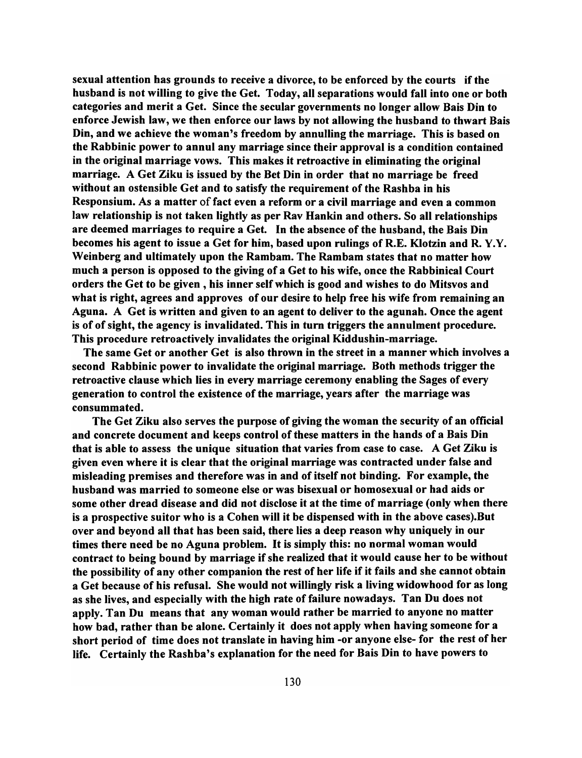sexual attention has grounds to receive a divorce, to be enforced by the courts if the husband is not willing to give the Get. Today, all separations would fall into one or both categories and merit a Get. Since the secular governments no longer allow Dais Din to enforce Jewish law, we then enforce our laws by not allowing the husband to thwart Dais Din, and we achieve the woman's freedom by annulling the marriage. This is based on the Rabbinic power to annul any marriage since their approval is a condition contained in the original marriage vows. This makes it retroactive in eliminating the original marriage. A Get Ziku is issued by the Det Din in order that no marriage be freed without an ostensible Get and to satisfy the requirement of the Rashba in his Responsium. As a matter of fact even a reform or a civil marriage and even a common law relationship is not taken lightly as per Rav Hankin and others. So all relationships are deemed marriages to require a Get. In the absence of the husband, the Dais Din becomes his agent to issue a Get for him, based upon rulings of R.E. Klotzin and R.Y.Y. Weinberg and ultimately upon the Rambam. The Rambam states that no matter how much a person is opposed to the giving of a Get to his wife, once the Rabbinical Court orders the Get to be given, his inner self which is good and wishes to do Mitsvos and what is right, agrees and approves of our desire to help free his wife from remaining an Aguna. A Get is written and given to an agent to deliver to the agunah. Once the agent is of of sight, the agency is invalidated. This in turn triggers the annulment procedure. This procedure retroactively invalidates the original Kiddushin-marriage.

The same Get or another Get is also thrown in the street in a manner which involves a second Rabbinic power to invalidate the original marriage. Doth methods trigger the retroactive clause which lies in every marriage ceremony enabling the Sages of every generation to control the existence of the marriage, years after the marriage was consummated.

The Get Ziku also serves the purpose of giving the woman the security of an official and concrete document and keeps control of these matters in the hands of a Dais Din that is able to assess the unique situation that varies from case to case. A Get Ziku is given even where it is clear that the original marriage was contracted under false and misleading premises and therefore was in and of itself not binding. For example, the husband was married to someone else or was bisexual or homosexual or had aids or some other dread disease and did not disclose it at the time of marriage (only when there is a prospective suitor who is a Cohen will it be dispensed with in the above cases).Dut over and beyond all that has been said, there lies a deep reason why uniquely in our times there need be no Aguna problem. It is simply this: no normal woman would contract to being bound by marriage if she realized that it would cause her to be without the possibility of any other companion the rest of her life if it fails and she cannot obtain a Get because of his refusal. She would not willingly risk a living widowhood for as long as she lives, and especially with the high rate of failure nowadays. Tan Du does not apply. Tan Du means that any woman would rather be married to anyone no matter how bad, rather than be alone. Certainly it does not apply when having someone for a short period of time does not translate in having him -or anyone else- for the rest of her life. Certainly the Rashba's explanation for the need for Dais Din to have powers to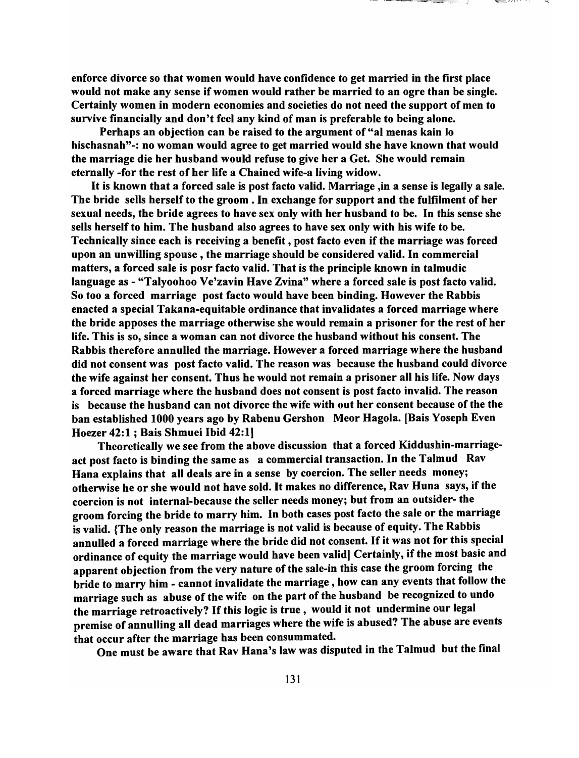enforce divorce so that women would have confidence to get married in the first place would not make any sense if women would rather be married to an ogre than be single. Certainly women in modern economies and societies do not need the support of men to survive financially and don't feel any kind of man is preferable to being alone.

and the company of the company of the company of the company of the company of the company of the company of the

Perhaps an objection can be raised to the argument of "al menas kain <sup>10</sup> hischasnah"-: no woman would agree to get married would she have known that would the marriage die her husband would refuse to give her a Get. She would remain eternally -for the rest of her life a Chained wife-a living widow.

It is known that a forced sale is post facto valid. Marriage ,in a sense is legally a sale. The bride sells herself to the groom. In exchange for support and the fulfilment of her sexual needs, the bride agrees to have sex only with her husband to be. In this sense she sells herself to him. The husband also agrees to have sex only with his wife to be. Technically since each is receiving a benefit, post facto even if the marriage was forced upon an unwilling spouse, the marriage should be considered valid. In commercial matters, a forced sale is posr facto valid. That is the principle known in talmudic language as - "Talyoohoo Ve'zavin Have Zvina" where a forced sale is post facto valid. So too a forced marriage post facto would have been binding. However the Rabbis enacted a special Takana-equitable ordinance that invalidates a forced marriage where the bride apposes the marriage otherwise she would remain a prisoner for the rest of her life. This is so, since a woman can not divorce the husband without his consent. The Rabbis therefore annulled the marriage. However a forced marriage where the husband did not consent was post facto valid. The reason was because the husband could divorce the wife against her consent. Thus he would not remain a prisoner all his life. Now days a forced marriage where the husband does not consent is post facto invalid. The reason is because the husband can not divorce the wife with out her consent because of the the ban established 1000 years ago by Rabenu Gershon Meor Hagola. [Bais Yoseph Even Hoezer 42:1 ; Bais Shmuei Ibid 42:1]

Theoretically we see from the above discussion that a forced Kiddushin-marriageact post facto is binding the same as a commercial transaction. In the Talmud Rav Hana explains that all deals are in a sense by coercion. The seller needs money; otherwise he or she would not have sold. It makes no difference, Rav Huna says, if the coercion is not internal-because the seller needs money; but from an outsider- the groom forcing the bride to marry him. In both cases post facto the sale or the marriage is valid. {The only reason the marriage is not valid is because of equity. The Rabbis annulled a forced marriage where the bride did not consent. If it was not for this special ordinance of equity the marriage would have been valid] Certainly, if the most basic and apparent objection from the very nature of the sale-in this case the groom forcing the bride to marry him - cannot invalidate the marriage, how can any events that follow the marriage such as abuse of the wife on the part of the husband be recognized to undo the marriage retroactively? If this logic is true, would it not undermine our legal premise of annulling all dead marriages where the wife is abused? The abuse are events that occur after the marriage has been consummated.

One must be aware that Rav Hana's law was disputed in the Talmud but the final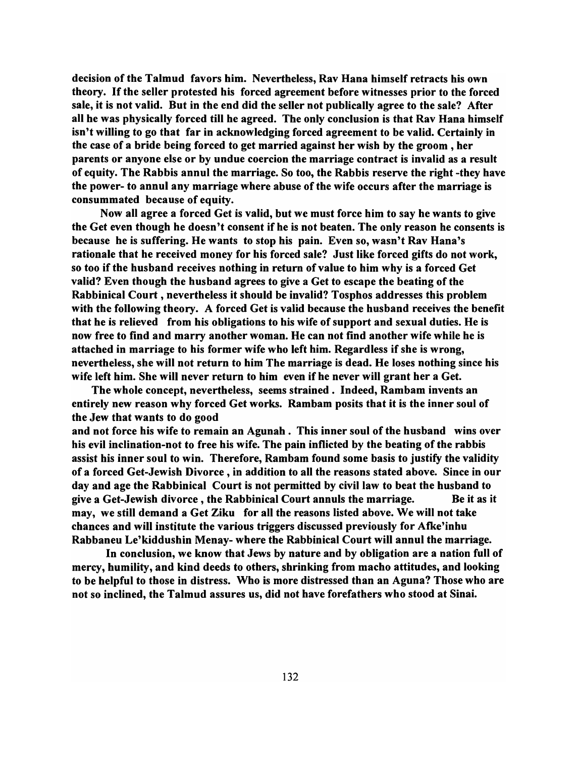decision of the Talmud favors him. Nevertheless, Rav Hana himself retracts his own theory. If the seller protested his forced agreement before witnesses prior to the forced sale, it is not valid. But in the end did the seller not publically agree to the sale? After all he was physically forced till he agreed. The only conclusion is that Rav Hana himself isn't willing to go that far in acknowledging forced agreement to be valid. Certainly in the case of a bride being forced to get married against her wish by the groom, her parents or anyone else or by undue coercion the marriage contract is invalid as a result of equity. The Rabbis annul the marriage. So too, the Rabbis reserve the right -they have the power- to annul any marriage where abuse of the wife occurs after the marriage is consummated because of equity.

Now all agree a forced Get is valid, but we must force him to say he wants to give the Get even though he doesn't consent if he is not beaten. The only reason he consents is because he is suffering. He wants to stop his pain. Even so, wasn't Rav Hana's rationale that he received money for his forced sale? Just like forced gifts do not work, so too if the husband receives nothing in return of value to him why is a forced Get valid? Even though the husband agrees to give a Get to escape the beating of the Rabbinical Court, nevertheless it should be invalid? Tosphos addresses this problem with the following theory. A forced Get is valid because the husband receives the benefit that he is relieved from his obligations to his wife of support and sexual duties. He is now free to find and marry another woman. He can not find another wife while he is attached in marriage to his former wife who left him. Regardless if she is wrong, nevertheless, she will not return to him The marriage is dead. He loses nothing since his wife left him. She will never return to him even if he never will grant her a Get.

The whole concept, nevertheless, seems strained. Indeed, Rambam invents an entirely new reason why forced Get works. Rambam posits that it is the inner soul of the Jew that wants to do good

and not force his wife to remain an Agunah. This inner soul of the husband wins over his evil inclination-not to free his wife. The pain inflicted by the beating of the rabbis assist his inner soul to win. Therefore, Rambam found some basis to justify the validity of a forced Get-Jewish Divorce, in addition to all the reasons stated above. Since in our day and age the Rabbinical Court is not permitted by civil law to beat the husband to give a Get-Jewish divorce, the Rabbinical Court annuls the marriage. Be it as it may, we still demand a Get Ziku for all the reasons listed above. We will not take chances and will institute the various triggers discussed previously for Atke'inhu Rabbaneu Le'kiddushin Menay- where the Rabbinical Court will annul the marriage.

In conclusion, we know that Jews by nature and by obligation are a nation full of mercy, humility, and kind deeds to others, shrinking from macho attitudes, and looking to be helpful to those in distress. Who is more distressed than an Aguna? Those who are not so inclined, the Talmud assures us, did not have forefathers who stood at Sinai.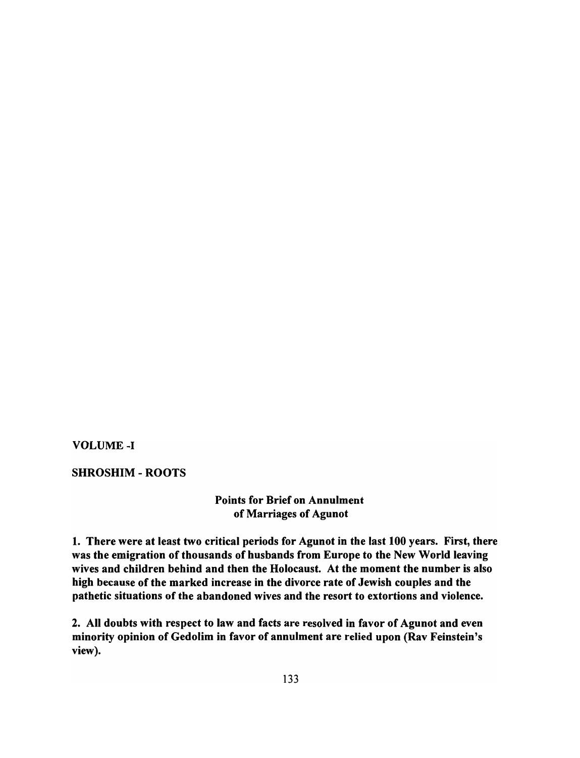VOLUME-I

## SHROSHIM - ROOTS

# Points for Brief on Annulment of Marriages of Agunot

1. There were at least two critical periods for Agunot in the last 100 years. First, there was the emigration of thousands of husbands from Europe to the New World leaving wives and children behind and then the Holocaust. At the moment the number is also high because of the marked increase in the divorce rate of Jewish couples and the pathetic situations of the abandoned wives and the resort to extortions and violence.

2. All doubts with respect to law and facts are resolved in favor of Agunot and even minority opinion of Gedolim in favor of annulment are relied upon (Rav Feinstein's view).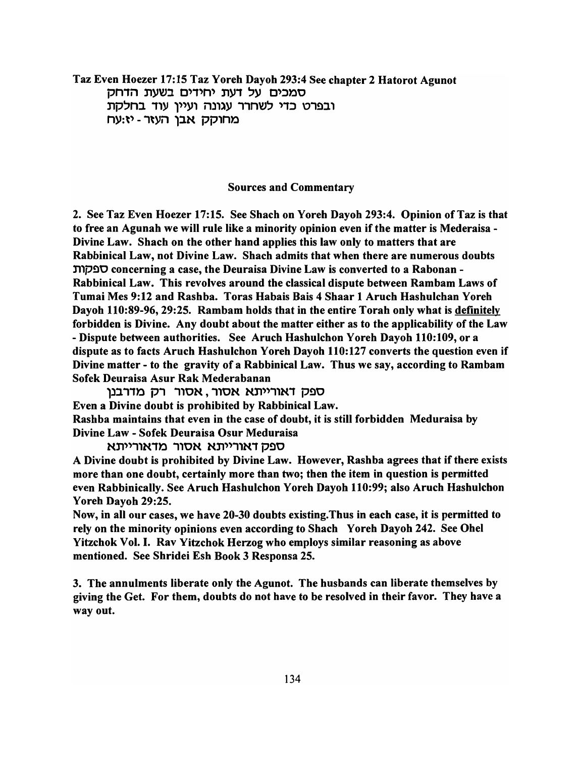Taz Even Hoezer 17:15 Taz Yoreh Dayoh 293:4 See chapter 2 Hatorot Agunot סמכים על דעת יחידים בשעת הדחק ובפרט כדי לשחרר עגונה ועיין עוד בחלקת מחוקק אבו העזר - יז:עח

#### Sources and Commentary

2. See Taz Even Hoezer 17:15. See Shach on Yoreh Dayoh 293:4. Opinion of Taz is that to free an Agunah we will rule like a minority opinion even if the matter is Mederaisa - Divine Law. Shach on the other hand applies this law only to matters that are Rabbinical Law, not Divine Law. Shach admits that when there are numerous doubts n'lp~O concerning a case, the Deuraisa Divine Law is converted to a Rabonan - Rabbinical Law. This revolves around the classical dispute between Rambam Laws of Tumai Mes 9: 12 and Rashba. Toras Habais Bais 4 Shaar 1 Aruch Hashulchan Yoreh Dayoh 110:89-96,29:25. Rambam holds that in the entire Torah only what is definitely forbidden is Divine. Any doubt about the matter either as to the applicability of the Law - Dispute between authorities. See Aruch Hashulchon Yoreh Dayoh 110:109, or a dispute as to facts Aruch Hashulchon Yoreh Dayoh 110:127 converts the question even if Divine matter - to the gravity of a Rabbinical Law. Thus we say, according to Rambam Sofek Deuraisa Asur Rak Mederabanan

ספק דאורייתא אסור, אסור רק מדרבנן Even a Divine doubt is prohibited by Rabbinical Law. Rashba maintains that even in the case of doubt, it is still forbidden Meduraisa by Divine Law - Sofek Deuraisa Osur Meduraisa

ספק דאורייתא אסור מדאורייתא

A Divine doubt is prohibited by Divine Law. However, Rashba agrees that if there exists more than one doubt, certainly more than two; then the item in question is permitted even Rabbinically. See Aruch Hashulchon Yoreh Dayoh 110:99; also Aruch Hashulchon Yoreh Dayoh 29:25.

Now, in all our cases, we have 20-30 doubts existing.Thus in each case, it is permitted to rely on the minority opinions even according to Shach Y oreh Dayoh 242. See Ohel Yitzchok Vol. I. Rav Yitzchok Herzog who employs similar reasoning as above mentioned. See Shridei Esh Book 3 Responsa 25.

3. The annulments liberate only the Agunot. The husbands can liberate themselves by giving the Get. For them, doubts do not have to be resolved in their favor. They have a way out.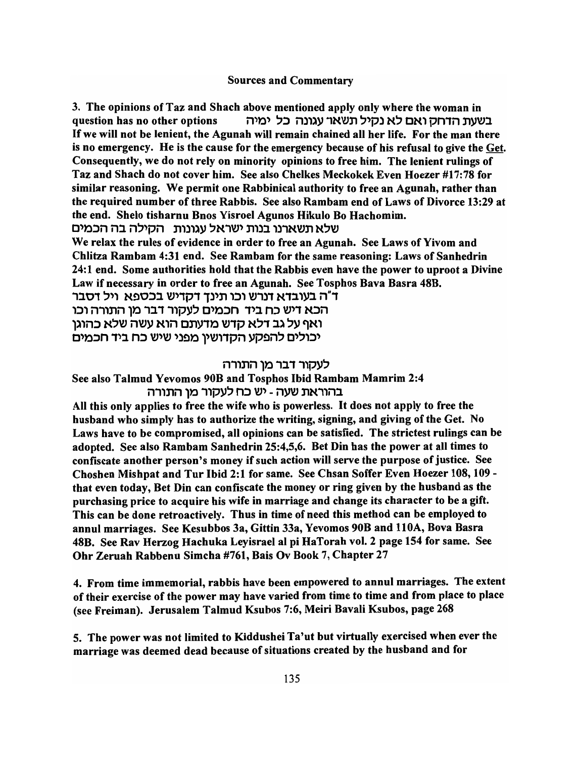### Sources and Commentary

3. The opinions of Taz and Shach above mentioned apply only where the woman in question has no other options נשעת הדחק ואם לא נקיל תשאר עגונה כל ימיה If we will not be lenient, the Agunah will remain chained all her life. For the man there is no emergency. He is the cause for the emergency because of his refusal to give the Get. Consequently, we do not rely on minority opinions to free him. The lenient rulings of Taz and Shach do not cover him. See also Chelkes Meckokek Even Hoezer #17:78 for similar reasoning. We permit one Rabbinical authority to free an Agunah, rather than the required number of three Rabbis. See also Rambam end of Laws of Divorce 13:29 at the end. Shelo tisharnu Bnos Yisroel Agunos Hikulo Bo Hachomim.

שלא תשארנו בנות ישראל עגונות | הקילה בה הכמים

We relax the rules of evidence in order to free an Agunah. See Laws of Yivom and Chlitza Rambam 4:31 end. See Rambam for the same reasoning: Laws of Sanhedrin 24:1 end. Some authorities hold that the Rabbis even have the power to uproot a Divine Law if necessary in order to free an Agunah. See Tosphos Bava Basra 48B.

1J.01 ~')' N!)O:JJ. \V')1P1 1)')n ,:J, *\V1)1* N1J.'YJ. *n"1*  הכא דיש כח ביד חכמים לעקור דבר מו התורה וכו ואף על גב דלא קדש מדעתם הוא עשה שלא כהוגן

יכולים להפקע הקדושין מפני שיש כח ביד חכמים

### n1,nnl)') ,J. 1 *1'PY'*

See also Talmud Yevomos 90B and Tosphos Ibid Rambam Mamrim 2:4 n1,nnl)') 1'PY~ n:J \V') - *ny\V* nN1,nJ.

All this only applies to free the wife who is powerless. It does not apply to free the husband who simply has to authorize the writing, signing, and giving of the Get. No Laws have to be compromised, all opinions can be satisfied. The strictest rulings can be adopted. See also Rambam Sanhedrin 25:4,5,6. Bet Din has the power at all times to confiscate another person's money if such action will serve the purpose of justice. See Choshen Mishpat and Tur Ibid 2:1 for same. See Chsan Soffer Even Hoezer 108, 109 that even today, Bet Din can confiscate the money or ring given by the husband as the purchasing price to acquire his wife in marriage and change its character to be a gift. This can be done retroactively. Thus in time of need this method can be employed to annul marriages. See Kesubbos 3a, Gittin 33a, Yevomos 90B and 110A, Bova Basra 48B. See Rav Herzog Hachuka Leyisrael al pi HaTorah vol. 2 page 154 for same. See Ohr Zeruah Rabbenu Simcha #761, Bais Ov Book 7, Chapter 27

4. From time immemorial, rabbis have been empowered to annul marriages. The extent of their exercise of the power may have varied from time to time and from place to place (see Freiman). Jerusalem Talmud Ksubos 7:6, Meiri Bavali Ksubos, page 268

5. The power was not limited to Kiddushei Ta'ut but virtually exercised when ever the marriage was deemed dead because of situations created by the husband and for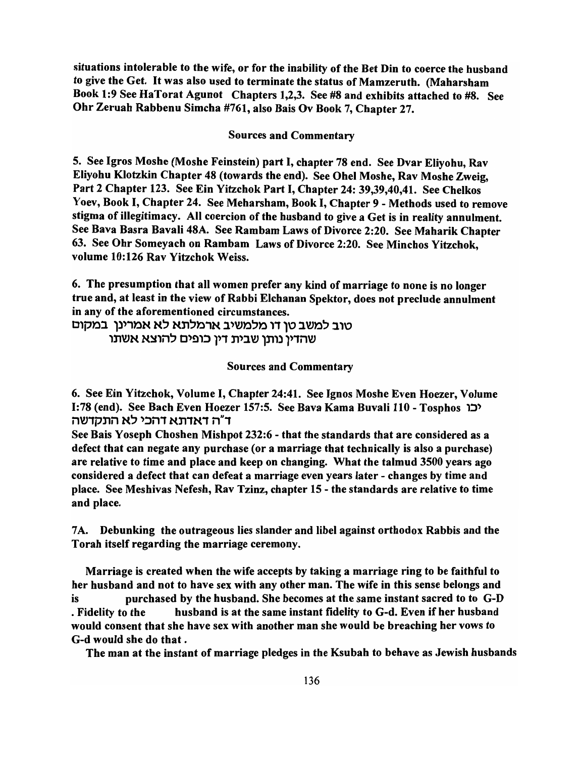situations intolerable to the wife, or for the inability of the Bet Din to coerce the husband to give the Get. It was also used to terminate the status of Mamzeruth. (Maharsham Book 1:9 See HaTorat Agunot Chapters 1,2,3. See #8 and exhibits attached to #8. See Ohr Zeruah Rabbenu Simcha #761, also Bais Ov Book 7, Chapter 27.

Sources and Commentary

5. See Igros Moshe (Moshe Feinstein) part I, chapter 78 end. See Dvar Eliyohu, Rav Eliyohu Klotzkin Chapter 48 (towards the end). See Ohel Moshe, Rav Moshe Zweig, Part 2 Chapter 123. See Ein Yitzchok Part I, Chapter 24: 39,39,40,41. See Chelkos Yoev, Book I, Chapter 24. See Meharsham, Book I, Chapter 9 - Methods used to remove stigma of illegitimacy. All coercion of the husband to give a Get is in reality annulment. See Bava Basra Bavali 48A. See Rambam Laws of Divorce 2:20. See Maharik Chapter 63. See Ohr Someyach on Rambam Laws of Divorce 2:20. See Minchos Yitzchok, volume 10:126 Rav Yitzchok Weiss.

6. The presumption that all women prefer any kind of marriage to none is no longer true and, at least in the view of Rabbi Elchanan Spektor, does not preclude annulment in any of the aforementioned circumstances.

טוב למשב טו דו מלמשיב ארמלתא לא אמרינן במקום שהדיו נותן שבית דין כופים להוצא אשתו

Sources and Commentary

6. See Ein Yitzchok, Volume I, Chapter 24:41. See Ignos Moshe Even Hoezer, Volume 1:78 (end). See Bach Even Hoezer 157:5. See Bava Kama Buvali 110 - Tosphos וכו il~1pnil N~ ':lil1 Nn1N1 il"1

See Bais Yoseph Choshen Mishpot 232:6 - that the standards that are considered as a defect that can negate any purchase (or a marriage that technically is also a purchase) are relative to time and place and keep on changing. What the talmud 3500 years ago considered a defect that can defeat a marriage even years later - changes by time and place. See Meshivas Nefesh, Rav Tzinz, chapter 15 - the standards are relative to time and place.

7 A. Debunking the outrageous lies slander and libel against orthodox Rabbis and the Torah itself regarding the marriage ceremony.

Marriage is created when the wife accepts by taking a marriage ring to be faithful to her husband and not to have sex with any other man. The wife in this sense belongs and is purchased by the husband. She becomes at the same instant sacred to to G-D . Fidelity to the husband is at the same instant fidelity to G-d. Even if her husband would consent that she have sex with another man she would be breaching her vows to G-d would she do that.

The man at the instant of marriage pledges in the Ksubah to behave as Jewish husbands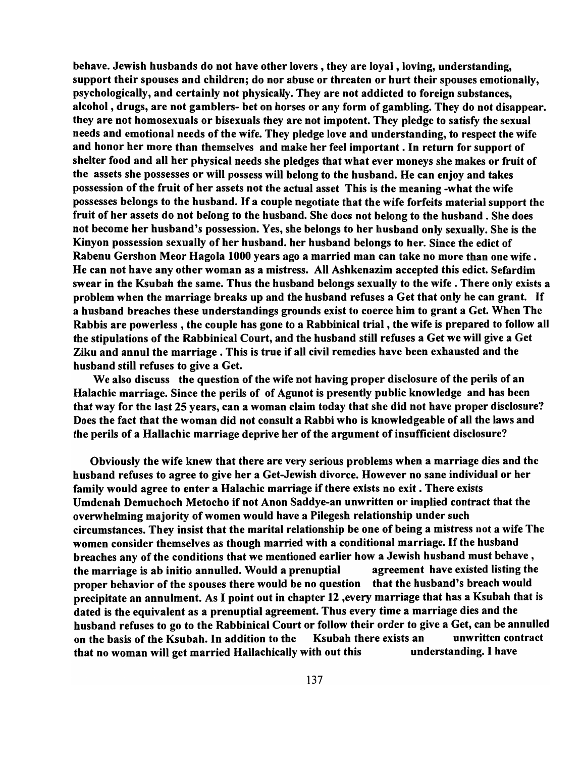behave. Jewish husbands do not have other lovers, they are loyal, loving, understanding, support their spouses and children; do nor abuse or threaten or hurt their spouses emotionally, psychologically, and certainly not physically. They are not addicted to foreign substances, alcohol, drugs, are not gamblers- bet on horses or any form of gambling. They do not disappear. they are not homosexuals or bisexuals they are not impotent. They pledge to satisfy the sexual needs and emotional needs of the wife. They pledge love and understanding, to respect the wife and honor her more than themselves and make her feel important. In return for support of shelter food and all her physical needs she pledges that what ever moneys she makes or fruit of the assets she possesses or will possess will belong to the husband. He can enjoy and takes possession of the fruit of her assets not the actual asset This is the meaning -what the wife possesses belongs to the husband. If a couple negotiate that the wife forfeits material support the fruit of her assets do not belong to the husband. She does not belong to the husband. She does not become her husband's possession. Yes, she belongs to her husband only sexually. She is the Kinyon possession sexually of her husband. her husband belongs to her. Since the edict of Rabenu Gershon Meor Hagola 1000 years ago a married man can take no more than one wife. He can not have any other woman as a mistress. All Ashkenazim accepted this edict. Sefardim swear in the Ksubah the same. Thus the husband belongs sexually to the wife. There only exists a problem when the marriage breaks up and the husband refuses a Get that only he can grant. If a husband breaches these understandings grounds exist to coerce him to grant a Get. When The Rabbis are powerless, the couple has gone to a Rabbinical trial, the wife is prepared to follow all the stipulations of the Rabbinical Court, and the husband still refuses a Get we will give a Get Ziku and annul the marriage. This is true if all civil remedies have been exhausted and the husband still refuses to give a Get.

We also discuss the question of the wife not having proper disclosure of the perils of an Halachic marriage. Since the perils of of Agunot is presently public knowledge and has been that way for the last 25 years, can a woman claim today that she did not have proper disclosure? Does the fact that the woman did not consult a Rabbi who is knowledgeable of all the laws and the perils of a Hallachic marriage deprive her of the argument of insufficient disclosure?

Obviously the wife knew that there are very serious problems when a marriage dies and the husband refuses to agree to give her a Get-Jewish divorce. However no sane individual or her family would agree to enter a Halachic marriage if there exists no exit. There exists Umdenah Demuchoch Metocho if not Anon Saddye-an unwritten or implied contract that the overwhelming majority of women would have a Pilegesh relationship under such circumstances. They insist that the marital relationship be one of being a mistress not a wife The women consider themselves as though married with a conditional marriage. If the husband breaches any of the conditions that we mentioned earlier how a Jewish husband must behave, the marriage is ab initio annulled. Would a prenuptial agreement have existed listing the proper behavior of the spouses there would be no question that the husband's breach would precipitate an annulment. As I point out in chapter 12 ,every marriage that has a Ksubah that is dated is the equivalent as a prenuptial agreement. Thus every time a marriage dies and the husband refuses to go to the Rabbinical Court or follow their order to give a Get, can be annulled on the basis of the Ksubah. In addition to the Ksubah there exists an unwritten contract that no woman will get married Hallachically with out this understanding. I have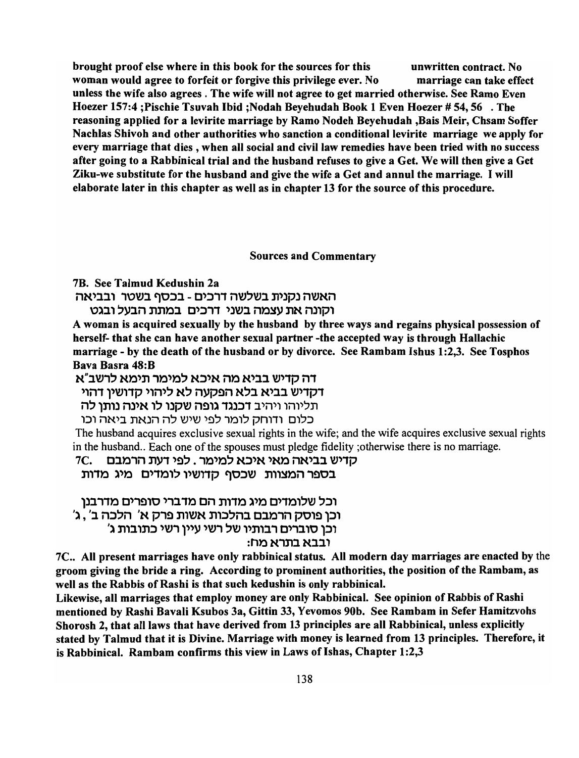brought proof else where in this book for the sources for this unwritten contract. No woman would agree to forfeit or forgive this privilege ever. No marriage can take effect unless the wife also agrees. The wife will not agree to get married otherwise. See Ramo Even Hoezer 157:4 ;Pischie Tsuvah Ibid ;Nodah Beyehudah Book 1 Even Hoezer # 54, 56 . The reasoning applied for a levirite marriage by Ramo Nodeh Beyehudah ,Bais Meir, Chsam Soffer Nachlas Shivoh and other authorities who sanction a conditional levirite marriage we apply for every marriage that dies, when all social and civil law remedies have been tried with no success after going to a Rabbinical trial and the husband refuses to give a Get. We will then give a Get Ziku-we substitute for the husband and give the wife a Get and annul the marriage. I will elaborate later in this chapter as well as in chapter 13 for the source of this procedure.

Sources and Commentary

7B. See Talmud Kedushin 2a

האשה נקנית בשלשה דרכים - בכסף בשטר ובביאה

וקונה את עצמה בשני דרכים במתת הבעל ובגט

A woman is acquired sexually by the husband by three ways and regains physical possession of herself- that she can have another sexual partner -the accepted way is through Hallachic marriage - by the death of the husband or by divorce. See Rambam Ishus 1:2,3. See Tosphos Bava Basra 48:B

דה קדיש בביא מה איכא למימר תימא לרשב"א

דקדיש בביא בלא הפקעה לא ליהוי קדושין דהוי

תליוהו ויהיב **דכנגד גופה שקנו לו אינה נותן לה** 

כלום ודוחק לומר לפי שיש לה הנאת ביאה וכו

The husband acquires exclusive sexual rights in the wife; and the wife acquires exclusive sexual rights in the husband.. Each one of the spouses must pledge fidelity ; otherwise there is no marriage.

# 7C. סדיש בביאה מאי איכא למימר . לפי דעת הרמבם

בספר המצוות שכסף קדושיו לומדים מיג מדות

וכל שלומדים מיג מדות הם מדברי סופרים מדרבנן 'וכן פוסק הרמבם בהלכות אשות פרק א' הלכה ב' , ג וכו סוברים רבותיו של רשי עיין רשי כתובות ג' ובבא בתרא מח:

7C.. All present marriages have only rabbinical status. All modern day marriages are enacted by the groom giving the bride a ring. According to prominent authorities, the position of the Rambam, as well as the Rabbis of Rashi is that such kedushin is only rabbinical.

Likewise, all marriages that employ money are only Rabbinical. See opinion of Rabbis of Rashi mentioned by Rashi Bavali Ksubos 3a, Gittin 33, Yevomos 90b. See Rambam in Sefer Hamitzvohs Shorosh 2, that all laws that have derived from 13 principles are all Rabbinical, unless explicitly stated by Talmud that it is Divine. Marriage with money is learned from 13 principles. Therefore, it is Rabbinical. Rambam confirms this view in Laws of Ishas, Chapter 1:2,3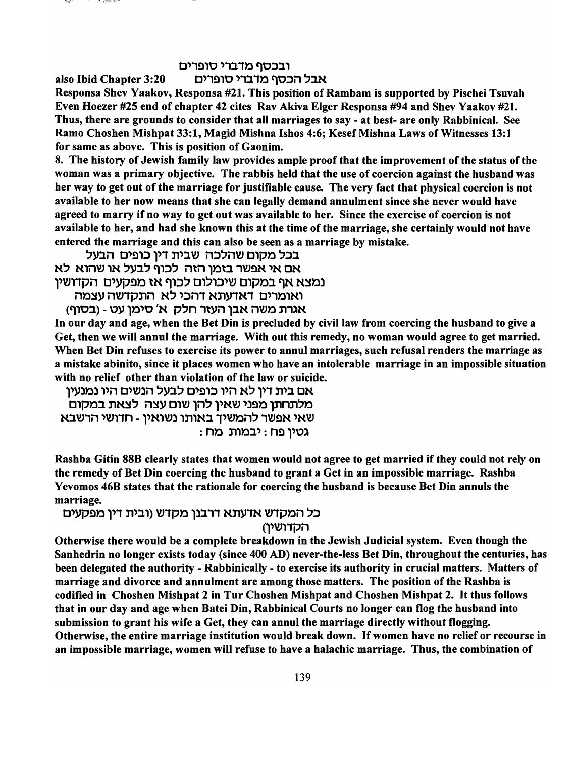### ובכסף מדברי סופרים

also Ibid Chapter 3:20 > אבל הכסף מדברי סופרים

Responsa Shev Yaakov, Responsa #21. This position of Rambam is supported by Pischei Tsuvah Even Hoezer #25 end of chapter 42 cites Rav Akiva Elger Responsa #94 and Shev Yaakov #21. Thus, there are grounds to consider that all marriages to say - at best- are only Rabbinical. See Ramo Choshen Mishpat 33: 1, Magid Mishna Ishos 4:6; Kesef Mishna Laws of Witnesses 13: 1 for same as above. This is position of Gaonim.

8. The history of Jewish family law provides ample proof that the improvement of the status of the woman was a primary objective. The rabbis held that the use of coercion against the husband was her way to get out of the marriage for justifiable cause. The very fact that physical coercion is not available to her now means that she can legally demand annulment since she never would have agreed to marry if no way to get out was available to her. Since the exercise of coercion is not available to her, and had she known this at the time of the marriage, she certainly would not have entered the marriage and this can also be seen as a marriage by mistake.

בכל מקום שהלכה שבית דין כופים הבעל אם אי אפשר בזמן הזה לכוף לבעל או שהוא לא נמצא אף במקום שיכולום לכוף אז מפקעים הקדושין

. . . Genes

ואומרים דאדעתא דהכי לא התקדשה עצמה (בסוף) - אגרת משה אבן העזר חלק א' סימן עט

In our day and age, when the Bet Din is precluded by civil law from coercing the husband to give a Get, then we will annul the marriage. With out this remedy, no woman would agree to get married. When Bet Din refuses to exercise its power to annul marriages, such refusal renders the marriage as a mistake abinito, since it places women who have an intolerable marriage in an impossible situation with no relief other than violation of the law or suicide.

אם בית דין לא היו כופים לבעל הנשים היו נמנעין מלתחתן מפני שאין להן שום עצה לצאת במקום שאי אפשר להמשיך באותו נשואין - חדושי הרשבא : גטין פח : יבמות מח

Rashba Gitin 88B clearly states that women would not agree to get married if they could not rely on the remedy of Bet Din coercing the husband to grant a Get in an impossible marriage. Rashba Yevomos 46B states that the rationale for coercing the husband is because Bet Din annuls the marriage.

### כל המקדש אדעתא דרבנן מקדש (ובית דין מפקעים הקדושיו)

Otherwise there would be a complete breakdown in the Jewish Judicial system. Even though the Sanhedrin no longer exists today (since 400 AD) never-the-Iess Bet Din, throughout the centuries, has been delegated the authority - Rabbinically - to exercise its authority in crucial matters. Matters of marriage and divorce and annulment are among those matters. The position of the Rashba is codified in Choshen Mishpat 2 in Tur Choshen Mishpat and Choshen Mishpat 2. It thus follows that in our day and age when Batei Din, Rabbinical Courts no longer can flog the husband into submission to grant his wife a Get, they can annul the marriage directly without flogging. Otherwise, the entire marriage institution would break down. If women have no relief or recourse in an impossible marriage, women will refuse to have a halachic marriage. Thus, the combination of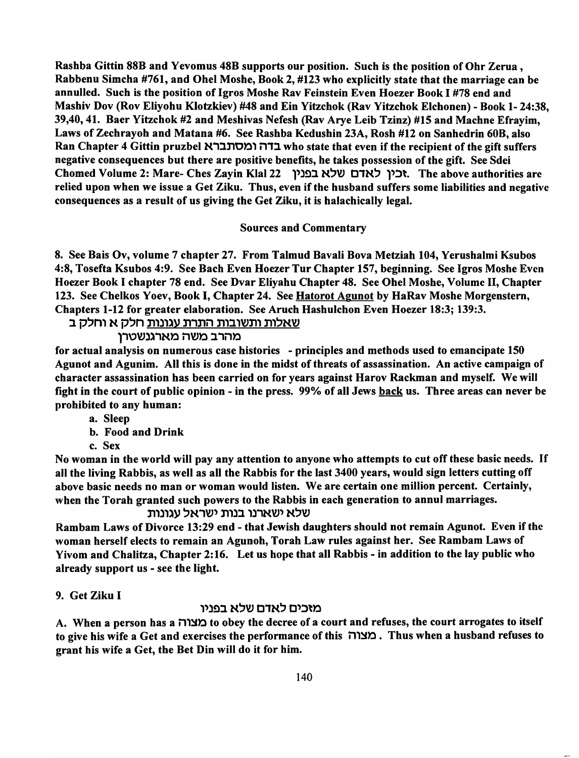Rashba Gittin 88B and Yevomus 48B supports our position. Such is the position of Ohr Zerua , Rabbenu Simcha #761, and Ohel Moshe, Book 2, #123 who explicitly state that the marriage can be annulled. Such is the position of Igros Moshe Rav Feinstein Even Hoezer Book I #78 end and Mashiv Dov (Rov Eliyohu K1otzkiev) #48 and Ein Yitzchok (Rav Yitzchok Elchonen) - Book 1- 24:38, 39,40,41. Baer Yitzchok #2 and Meshivas Nefesh (Rav Arye Leib Tzinz) #15 and Machne Efrayim, Laws of Zechrayoh and Matana #6. See Rashba Kedushin 23A, Rosh #12 on Sanhedrin 60B, also Ran Chapter 4 Gittin pruzbel בדה ומסתברא who state that even if the recipient of the gift suffers negative consequences but there are positive benefits, he takes possession of the gift. See Sdei Chomed Volume 2: Mare- Ches Zayin Klal 22 yik בין לאדם שלא בפניו. The above authorities are relied upon when we issue a Get Ziku. Thus, even if the husband suffers some liabilities and negative consequences as a result of us giving the Get Ziku, it is halachically legal.

## Sources and Commentary

8. See Bais Ov, volume 7 chapter 27. From Talmud Bavali Bova Metziah 104, Yerushalmi Ksubos 4:8, Tosefta Ksubos 4:9. See Bach Even Hoezer Tur Chapter 157, beginning. See Igros Moshe Even Hoezer Book I chapter 78 end. See Dvar Eliyahu Chapter 48. See Ohel Moshe, Volume II, Chapter 123. See Chelkos Yoev, Book I, Chapter 24. See Hatorot Agunot by HaRav Moshe Morgenstern, Chapters 1-12 for greater elaboration. See Aruch Hashulchon Even Hoezer 18:3; 139:3.

<u>שאלות ותשובות התרת עגונות</u> חלק א וחלק ב

מהרב משה מארגנשטרן

for actual analysis on numerous case histories - principles and methods used to emancipate 150 Agunot and Agunim. All this is done in the midst of threats of assassination. An active campaign of character assassination has been carried on for years against Harov Rackman and myself. We will fight in the court of public opinion - in the press. *99%* of all Jews back us. Three areas can never be prohibited to any human:

a. Sleep

b. Food and Drink

c. Sex

No woman in the world will pay any attention to anyone who attempts to cut off these basic needs. If all the living Rabbis, as well as all the Rabbis for the last 3400 years, would sign letters cutting off above basic needs no man or woman would listen. We are certain one million percent. Certainly, when the Torah granted such powers to the Rabbis in each generation to annul marriages.

שלא ישארנו בנות ישראל עגונות

Rambam Laws of Divorce 13:29 end - that Jewish daughters should not remain Agunot. Even if the woman herself elects to remain an Agunoh, Torah Law rules against her. See Rambam Laws of Yivom and Chalitza, Chapter 2:16. Let us hope that all Rabbis - in addition to the lay public who already support us - see the light.

# 9. Get Ziku I

מזכים לאדם שלא בפניו

A. When a person has a מצוה to obey the decree of a court and refuses, the court arrogates to itself to give his wife a Get and exercises the performance of this בצורה. Thus when a husband refuses to grant his wife a Get, the Bet Din will do it for him.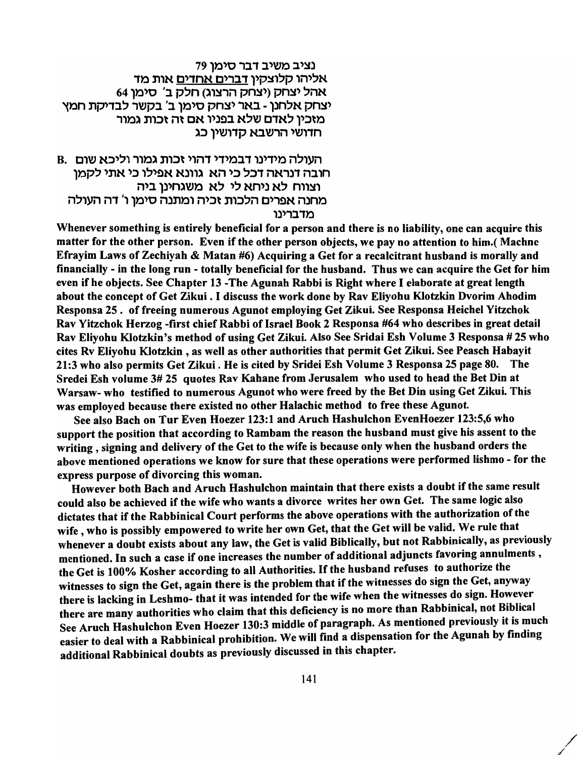נציב משיב דבר סימו 79 אליהו קלוצקין דברים אחדים אות מד 64 אהל יצחק (יצחק הרצוג) חלק ב' סימו יצחק אלחנן - באר יצחק סימן ב' בקשר לבדיקת חמץ מזכיו לאדם שלא בפניו אם זה זכות גמור חדושי הרשבא קדושין כג

B. העולה מידינו דבמידי דהוי זכות גמור וליכא שום חובה דנראה דכל כי הא. גוונא אפילו כי אתי לקמו וצווח לא ניחא לי לא משגחינו ביה מחנה אפרים הלכות זכיה ומתנה סימו ו' דה העולה מדברינו

Whenever something is entirely beneficial for a person and there is no liability, one can acquire this matter for the other person. Even if the other person objects, we pay no attention to him.( Machnc Efrayim Laws of Zechiyah & Matan #6) Acquiring a Get for a recalcitrant husband is morally and financially - in the long run - totally beneficial for the husband. Thus we can acquire the Get for him even if he objects. See Chapter 13 -The Agunah Rabbi is Right where I elaborate at great length about the concept of Get Zikui . I discuss the work done by Rav Eliyohu Klotzkin Dvorim Ahodim Responsa 25. of freeing numerous Agunot employing Get Zikui. See Responsa Heichel Yitzchok Rav Yitzchok Herzog -first chief Rabbi of Israel Book 2 Responsa #64 who describes in great detail Rav Eliyohu Klotzkin's method of using Get Zikui. Also See Sridai Esh Volume 3 Responsa # 25 who cites Rv Eliyohu K10tzkin , as well as other authorities that permit Get Zikui. See Peasch Habayit 21:3 who also permits Get Zikui . He is cited by Sridei Esh Volume 3 Responsa 25 page 80. The Sredei Esh volume 3# 25 quotes Rav Kahane from Jerusalem who used to head the Bet Din at Warsaw- who testified to numerous Agunot who were freed by the Bet Din using Get Zikui. This was employed because there existed no other Halachic method to free these Agunot.

See also Bach on Tur Even Hoezer 123:1 and Aruch Hashulchon EvenHoezer 123:5,6 who support the position that according to Rambam the reason the husband must give his assent to the writing, signing and delivery of the Get to the wife is because only when the husband orders the above mentioned operations we know for sure that these operations were performed lishmo - for the express purpose of divorcing this woman.

However both Bach and Aruch Hashulchon maintain that there exists a doubt if the same result could also be achieved if the wife who wants a divorce writes her own Get. The same logic also dictates that if the Rabbinical Court performs the above operations with the authorization of the wife, who is possibly empowered to write her own Get, that the Get will be valid. We rule that whenever a doubt exists about any law, the Get is valid Biblically, but not Rabbinically, as previously mentioned. In such a case if one increases the number of additional adjuncts favoring annulments, the Get is 100% Kosher according to all Authorities. If the husband refuses to authorize the witnesses to sign the Get, again there is the problem that if the witnesses do sign the Get, anyway there is lacking in Leshmo- that it was intended for the wife when the witnesses do sign. However there are many authorities who claim that this deficiency is no more than Rabbinical, not Biblical See Aruch Hashulchon Even Hoezer 130:3 middle of paragraph. As mentioned previously it is much easier to deal with a Rabbinical prohibition. We will find a dispensation for the Agunah by finding additional Rabbinical doubts as previously discussed in this chapter.

/ /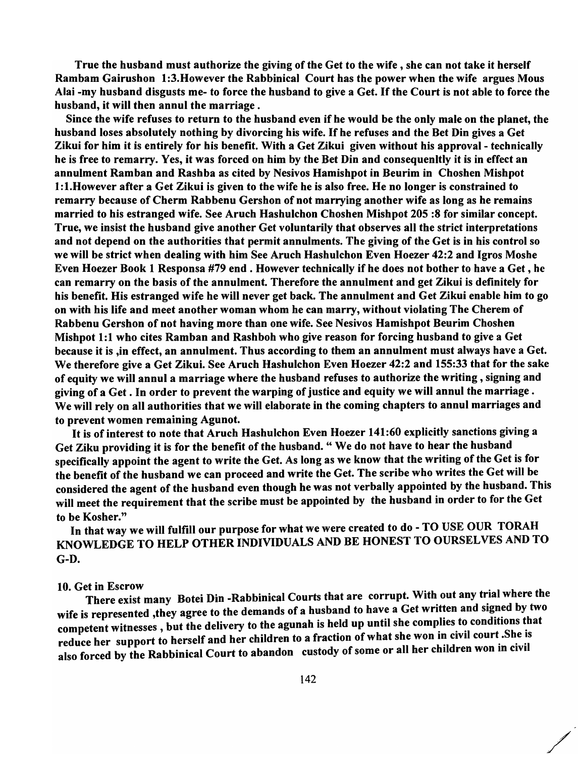True the husband must authorize the giving of the Get to the wife, she can not take it herself Rambam Gairushon 1:3. However the Rabbinical Court has the power when the wife argues Mous Alai -my husband disgusts me- to force the husband to give a Get. If the Court is not able to force the husband, it will then annul the marriage.

Since the wife refuses to return to the husband even if he would be the only male on the planet, the husband loses absolutely nothing by divorcing his wife. If he refuses and the Bet Din gives a Get Zikui for him it is entirely for his benefit. With a Get Zikui given without his approval - technically he is free to remarry. Yes, it was forced on him by the Bet Din and consequenltly it is in effect an annulment Ramban and Rashba as cited by Nesivos Hamishpot in Beurim in Choshen Mishpot I: I.However after a Get Zikui is given to the wife he is also free. He no longer is constrained to remarry because of Cherm Rabbenu Gershon of not marrying another wife as long as he remains married to his estranged wife. See Aruch Hashulchon Choshen Mishpot 205 :8 for similar concept. True, we insist the husband give another Get voluntarily that observes all the strict interpretations and not depend on the authorities that permit annulments. The giving of the Get is in his control so we will be strict when dealing with him See Aruch Hashulchon Even Hoezer 42:2 and Igros Moshe Even Hoezer Book 1 Responsa #79 end. However technically if he does not bother to have a Get, he can remarry on the basis of the annulment. Therefore the annulment and get Zikui is definitely for his benefit. His estranged wife he will never get back. The annulment and Get Zikui enable him to go on with his life and meet another woman whom he can marry, without violating The Cherem of Rabbenu Gershon of not having more than one wife. See Nesivos Hamishpot Beurim Choshen Mishpot 1:1 who cites Ramban and Rashboh who give reason for forcing husband to give a Get because it is ,in effect, an annulment. Thus according to them an annulment must always have a Get. We therefore give a Get Zikui. See Aruch Hashulchon Even Hoezer 42:2 and 155:33 that for the sake of equity we will annul a marriage where the husband refuses to authorize the writing, signing and giving of a Get. In order to prevent the warping of justice and equity we will annul the marriage. We will rely on all authorities that we will elaborate in the coming chapters to annul marriages and to prevent women remaining Agunot.

It is of interest to note that Aruch Hashulchon Even Hoezer 141:60 explicitly sanctions giving a Get Ziku providing it is for the benefit of the husband. " We do not have to hear the husband specifically appoint the agent to write the Get. As long as we know that the writing of the Get is for the benefit of the husband we can proceed and write the Get. The scribe who writes the Get will be considered the agent of the husband even though he was not verbally appointed by the husband. This will meet the requirement that the scribe must be appointed by the husband in order to for the Get to be Kosher."

In that way we will fulfill our purpose for what we were created to do - TO USE OUR TORAH KNOWLEDGE TO HELP OTHER INDIVIDUALS AND BE HONEST TO OURSELVES AND TO G-D.

#### 10. Get in Escrow

There exist many Botei Din -Rabbinical Courts that are corrupt. With out any trial where the wife is represented ,they agree to the demands of a husband to have a Get written and signed by two competent witnesses, but the delivery to the agunah is held up until she complies to conditions that reduce her support to herself and her children to a fraction of what she won in civil court .She is also forced by the Rabbinical Court to abandon custody of some or all her children won in civil

/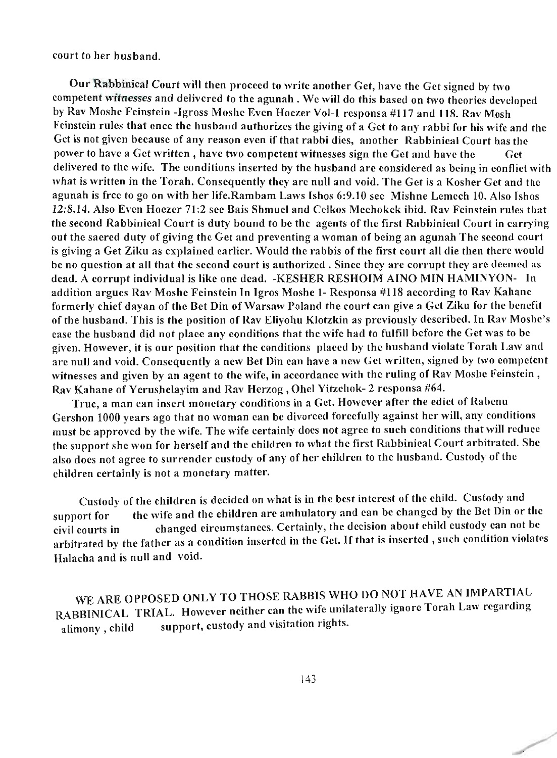court to her husband.

Our Rabbinical Court will then proceed to write another Get, have the Get signed by two competent witnesses and delivered to the agunah . We will do this based on two theories developed by Rav Moshe Feinstein -Igross Moshe Even Hoezer Vol-l responsa #117 and 118. Rav Mosh Feinstein rules that once the husband authorizes the giving of a Get to any rabbi for his wife and the Get is not given because of any reason even if that rabbi dies, another Rabbinical Court has the power to have a Get written, have two competent witnesses sign the Get and have the Get delivered to the wife. The conditions inserted by the husband are considered as being in conflict with what is written in the Torah. Consequently they are null and void. The Get is a Kosher Get and the agunah is free to go on with her life.Rambam Laws Ishos 6:9.10 sec Mishne Lemech 10. Also Ishos 12:8,14. Also Even Hoezer 71:2 see Bais Shmuel and Celkos Meehokek ibid. Rav Feinstein rules that the second Rabbinical Court is duty bound to be the agents of the first Rabbinical Court in carrying out the sacred duty of giving the Get and preventing a woman of being an agunah The second court is giving a Get Ziku as explained earlier. Would the rabbis of the first court all die then there would be no question at all that the second court is authorized. Since they are corrupt they are deemed as dead. A corrupt individual is like one dead. -KESHER RESHOIM AINO MIN HAMINYON- In addition argues Rav Moshe Feinstein In Igros Moshe 1- Responsa #118 according to Rav Kahane formerly chief dayan of the Bet Din of Warsaw Poland the court can give a Get Ziku for the benefit of the husband. This is the position of Rav Eliyohu Klotzkin as previously described. In Rav Moshc's case the husband did not place any conditions that the wife had to fulfill before the Get was to be given. However, it is our position that the conditions placed by the husband violate Torah Law and are null and void. Consequently a new Bet Din can have a new Get written, signed by two competent witnesses and given by an agent to the wife, in accordance with the ruling of Rav Moshe Feinstein, Rav Kahane of Yerushelayim and Rav Herzog, Ohel Yitzchok- 2 responsa #64.

True, a man can insert monetary conditions in a Get. However after the edict of Rabenu Gershon 1000 years ago that no woman can be divorced forcefully against her will, any conditions must be approved by the wife. The wife certainly does not agree to such conditions that will reduce the support she won for herself and the children to what the first Rabbinical Court arbitrated. She also does not agree to surrender custody of any of her children to the husband. Custody of the children certainly is not a monetary matter.

Custody of the children is decided on what is in the best interest of the child. Custody and support for the wife and the children are ambulatory and can be changed by the Bet Din or the civil courts in changed circumstances. Certainly, the decision about child custody can not be arbitrated by the father as a condition inserted in the Get. If that is inserted, such condition violates Halacha and is null and void.

WE ARE OPPOSED ONLY TO THOSE RABBIS WHO DO NOT HAVE AN IMPARTIAL RABBINICAL TRIAL. However neither can the wife unilaterally ignore Torah Law regarding alimony, child support, custody and visitation rights.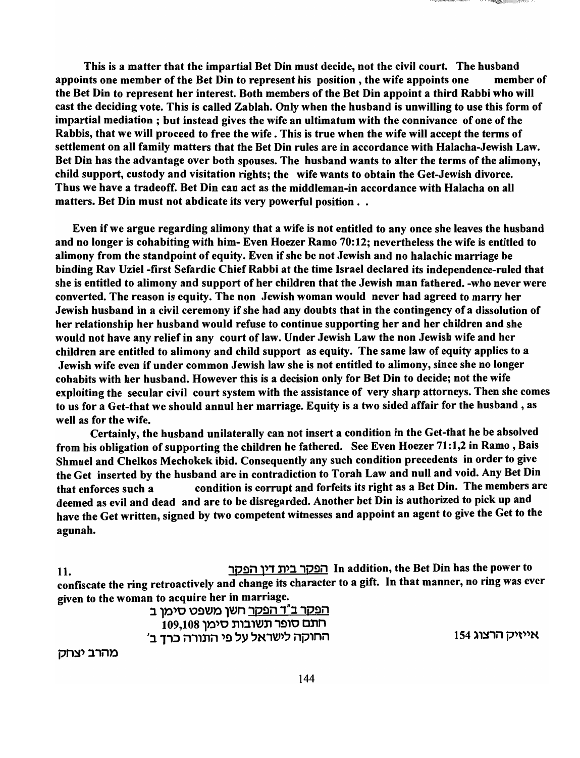This is a matter that the impartial Bet Din must decide, not the civil court. The husband appoints one member of the Bet Din to represent his position, the wife appoints one member of the Bet Din to represent her interest. Both members of the Bet Din appoint a third Rabbi who will cast the deciding vote. This is called Zablah. Only when the husband is unwilling to use this form of impartial mediation; but instead gives the wife an ultimatum with the connivance of one of the Rabbis, that we will proceed to free the wife. This is true when the wife will accept the terms of settlement on all family matters that the Bet Din rules are in accordance with Halacha-Jewish Law. Bet Din has the advantage over both spouses. The husband wants to alter the terms of the alimony, child support, custody and visitation rights; the wife wants to obtain the Get-Jewish divorce. Thus we have a tradeoff. Bet Din can act as the middleman-in accordance with Halacha on all matters. Bet Din must not abdicate its very powerful position. .

Even if we argue regarding alimony that a wife is not entitled to any once she leaves the husband and no longer is cohabiting with him- Even Hoezer Ramo 70:12; nevertheless the wife is entitled to alimony from the standpoint of equity. Even if she be not Jewish and no halachic marriage be binding Rav Uziel -first Sefardic Chief Rabbi at the time Israel declared its independence-ruled that she is entitled to alimony and support of her children that the Jewish man fathered. -who never were converted. The reason is equity. The non Jewish woman would never had agreed to marry her Jewish husband in a civil ceremony if she had any doubts that in the contingency of a dissolution of her relationship her husband would refuse to continue supporting her and her children and she would not have any relief in any court of law. Under Jewish Law the non Jewish wife and her children are entitled to alimony and child support as equity. The same law of equity applies to a Jewish wife even if under common Jewish law she is not entitled to alimony, since she no longer cohabits with her husband. However this is a decision only for Bet Din to decide; not the wife exploiting the secular civil court system with the assistance of very sharp attorneys. Then she comes to us for a Get-that we should annul her marriage. Equity is a two sided affair for the husband, as well as for the wife.

Certainly, the husband unilaterally can not insert a condition in the Get-that he be absolved from his obligation of supporting the children he fathered. See Even Hoezer 71:1,2 in Ramo, Bais Shmuel and Chelkos Mechokek ibid. Consequently any such condition precedents in order to give the Get inserted by the husband are in contradiction to Torah Law and null and void. Any Bet Din that enforces such a condition is corrupt and forfeits its right as a Bet Din. The members are deemed as evil and dead and are to be disregarded. Another bet Din is authorized to pick up and have the Get written, signed by two competent witnesses and appoint an agent to give the Get to the agunah.

11.  $\frac{1}{1}$  In addition, the Bet Din has the power to confiscate the ring retroactively and change its character to a gift. In that manner, no ring was ever given to the woman to acquire her in marriage.

<u>הפקר ב"ד הפקר</u> חשן משפט סימן ב  $109,108$  חתם סופר תשובות סימן *1:111;)* i1"ni1 '!l ~y ~N'VJ'~ i1p,ni1 IS4l'~'i1 P't"N

מהרב יצחק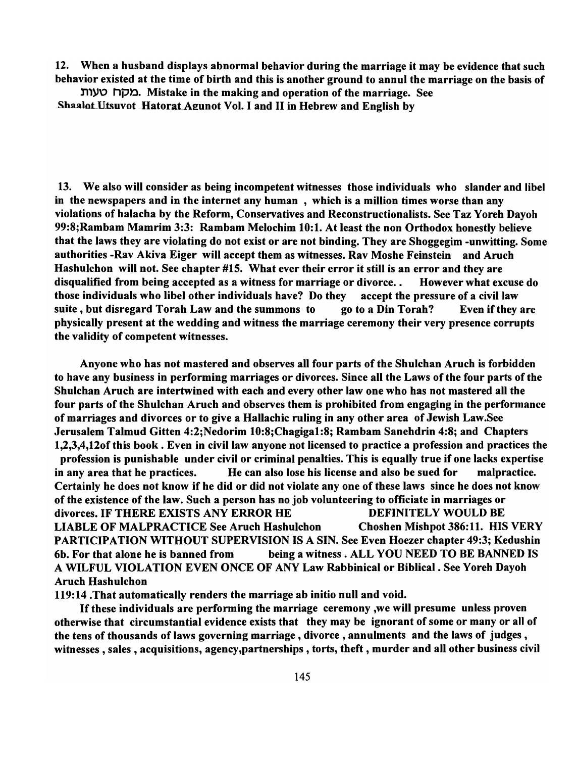12. When a husband displays abnormal behavior during the marriage it may be evidence that such behavior existed at the time of birth and this is another ground to annul the marriage on the basis of

n,y\) np~. Mistake in the making and operation of the marriage. See Shaalot Utsuvot Hatorat Agunot Vol. I and II in Hebrew and English by

13. We also will consider as being incompetent witnesses those individuals who slander and libel in the newspapers and in the internet any human , which is a million times worse than any violations of halacha by the Reform, Conservatives and Reconstructionalists. See Taz Yoreh Dayoh 99:8;Rambam Mamrim 3:3: Rambam Melochim 10:1. At least the non Orthodox honestly believe that the laws they are violating do not exist or are not binding. They are Shoggegim -unwitting. Some authorities -Rav Akiva Eiger will accept them as witnesses. Rav Moshe Feinstein and Aruch Hashulchon will not. See chapter #15. What ever their error it still is an error and they are disqualified from being accepted as a witness for marriage or divorce. . However what excuse do those individuals who libel other individuals have? Do they accept the pressure of a civil law suite, but disregard Torah Law and the summons to go to a Din Torah? Even if they are physically present at the wedding and witness the marriage ceremony their very presence corrupts the validity of competent witnesses.

Anyone who has not mastered and observes all four parts of the Shulchan Aruch is forbidden to have any business in performing marriages or divorces. Since all the Laws of the four parts of the Shulchan Aruch are intertwined with each and every other law one who has not mastered all the four parts of the Shulchan Aruch and observes them is prohibited from engaging in the performance of marriages and divorces or to give a Hallachic ruling in any other area of Jewish Law.See Jerusalem Talmud Gitten 4:2;Nedorim 10:8;Chagigal:8; Rambam Sanehdrin 4:8; and Chapters 1,2,3,4,120f this book. Even in civil law anyone not licensed to practice a profession and practices the profession is punishable under civil or criminal penalties. This is equally true if one lacks expertise in any area that he practices. He can also lose his license and also be sued for malpractice. Certainly he does not know if he did or did not violate anyone of these laws since he does not know of the existence of the law. Such a person has no job volunteering to officiate in marriages or divorces. IF THERE EXISTS ANY ERROR HE DEFINITELY WOULD BE LIABLE OF MALPRACTICE See Aruch Hashulchon Choshen Mishpot 386:11. HIS VERY PARTICIPATION WITHOUT SUPERVISION IS A SIN. See Even Hoezer chapter 49:3; Kedushin 6b. For that alone he is banned from being a witness. ALL YOU NEED TO BE BANNED IS A WILFUL VIOLATION EVEN ONCE OF ANY Law Rabbinical or Biblical. See Yoreh Dayoh Aruch Hashulchon

119:14 .That automatically renders the marriage ab initio null and void.

If these individuals are performing the marriage ceremony ,we will presume unless proven otherwise that circumstantial evidence exists that they may be ignorant of some or many or all of the tens of thousands of laws governing marriage, divorce, annulments and the laws of judges, witnesses, sales, acquisitions, agency,partnerships , torts, theft, murder and all other business civil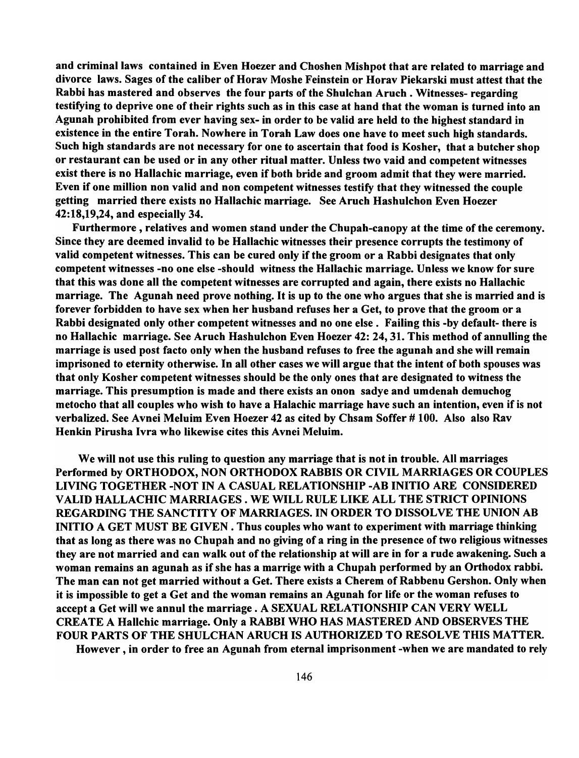and criminal laws contained in Even Hoezer and Choshen Mishpot that are related to marriage and divorce laws. Sages of the caliber of Horav Moshe Feinstein or Horav Piekarski must attest that the Rabbi has mastered and observes the four parts of the Shulchan Aruch . Witnesses- regarding testifying to deprive one of their rights such as in this case at hand that the woman is turned into an Agunah prohibited from ever having sex- in order to be valid are held to the highest standard in existence in the entire Torah. Nowhere in Torah Law does one have to meet such high standards. Such high standards are not necessary for one to ascertain that food is Kosher, that a butcher shop or restaurant can be used or in any other ritual matter. Unless two vaid and competent witnesses exist there is no Hallachic marriage, even if both bride and groom admit that they were married. Even if one million non valid and non competent witnesses testify that they witnessed the couple getting married there exists no Hallachic marriage. See Aruch Hashulchon Even Hoezer 42:18,19,24, and especially 34.

Furthermore, relatives and women stand under the Chupah-canopy at the time of the ceremony. Since they are deemed invalid to be Hallachic witnesses their presence corrupts the testimony of valid competent witnesses. This can be cured only if the groom or a Rabbi designates that only competent witnesses -no one else -should witness the Hallachic marriage. Unless we know for sure that this was done all the competent witnesses are corrupted and again, there exists no Hallachic marriage. The Agunah need prove nothing. It is up to the one who argues that she is married and is forever forbidden to have sex when her husband refuses her a Get, to prove that the groom or a Rabbi designated only other competent witnesses and no one else. Failing this -by default- there is no Hallachic marriage. See Aruch Hashulchon Even Hoezer 42: 24,31. This method of annulling the marriage is used post facto only when the husband refuses to free the agunah and she will remain imprisoned to eternity otherwise. In all other cases we will argue that the intent of both spouses was that only Kosher competent witnesses should be the only ones that are designated to witness the marriage. This presumption is made and there exists an onon sadye and umdenah demuchog metocho that all couples who wish to have a Halachic marriage have such an intention, even if is not verbalized. See Avnei Meluim Even Hoezer 42 as cited by Chsam Soffer # 100. Also also Rav Henkin Pirusha Ivra who likewise cites this Avnei Meluim.

We will not use this ruling to question any marriage that is not in trouble. All marriages Performed by ORTHODOX, NON ORTHODOX RABBIS OR CIVIL MARRIAGES OR COUPLES LIVING TOGETHER -NOT IN A CASUAL RELATIONSHIP -AB INITIO ARE CONSIDERED VALID HALLACHIC MARRIAGES. WE WILL RULE LIKE ALL THE STRICT OPINIONS REGARDING THE SANCTITY OF MARRIAGES. IN ORDER TO DISSOLVE THE UNION AB INITIO A GET MUST BE GIVEN. Thus couples who want to experiment with marriage thinking that as long as there was no Chupah and no giving of a ring in the presence of two religious witnesses they are not married and can walk out of the relationship at will are in for a rude awakening. Such a woman remains an agunah as if she has a marrige with a Chupah performed by an Orthodox rabbi. The man can not get married without a Get. There exists a Cherem of Rabbenu Gershon. Only when it is impossible to get a Get and the woman remains an Agunah for life or the woman refuses to accept a Get will we annul the marriage. A SEXUAL RELATIONSHIP CAN VERY WELL CREATE A Hallchic marriage. Only a RABBI WHO HAS MASTERED AND OBSERVES THE FOUR PARTS OF THE SHULCHAN ARUCH IS AUTHORIZED TO RESOLVE THIS MATTER.

However, in order to free an Agunah from eternal imprisonment -when we are mandated to rely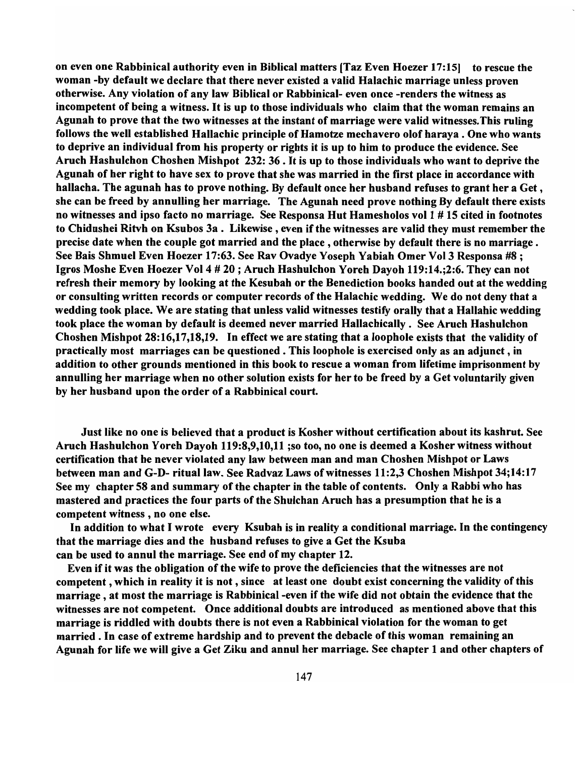on even one Rabbinical authority even in Biblical matters [Taz Even Hoezer 17:15] to rescue the woman -by default we declare that there never existed a valid Halachic marriage unless proven otherwise. Any violation of any law Biblical or Rabbinical- even once -renders the witness as incompetent of being a witness. It is up to those individuals who claim that the woman remains an Agunah to prove that the two witnesses at the instant of marriage were valid witnesses. This ruling follows the well established Hallachic principle of Hamotze mechavero olof haraya . One who wants to deprive an individual from his property or rights it is up to him to produce the evidence. See Aruch Hashulchon Choshen Mishpot 232: 36 . It is up to those individuals who want to deprive the Agunah of her right to have sex to prove that she was married in the first place in accordance with hallacha. The agunah has to prove nothing. By default once her husband refuses to grant her a Get, she can be freed by annulling her marriage. The Agunah need prove nothing By default there exists no witnesses and ipso facto no marriage. See Responsa Hut Hamesholos vol  $1 \neq 15$  cited in footnotes to Chidushei Ritvh on Ksubos 3a. Likewise, even if the witnesses are valid they must remember the precise date when the couple got married and the place, otherwise by default there is no marriage. See Bais Shmuel Even Hoezer 17:63. See Rav Ovadye Yoseph Yabiah Omer Vol 3 Responsa #8; Igros Moshe Even Hoezer Vol 4 # 20 ; Aruch Hashulchon Yoreh Dayoh 119:14.;2:6. They can not refresh their memory by looking at the Kesubah or the Benediction books handed out at the wedding or consulting written records or computer records of the Halachic wedding. We do not deny that a wedding took place. We are stating that unless valid witnesses testify orally that a Hallahic wedding took place the woman by default is deemed never married Hallachically. See Aruch Hashulchon Choshen Mishpot 28:16,17,18,19. In effect we are stating that a loophole exists that the validity of practically most marriages can be questioned. This loophole is exercised only as an adjunct, in addition to other grounds mentioned in this book to rescue a woman from lifetime imprisonment by annulling her marriage when no other solution exists for her to be freed by a Get voluntarily given by her husband upon the order of a Rabbinical court.

Just like no one is believed that a product is Kosher without certification about its kashrut. See Aruch Hashulchon Yoreh Dayoh 119:8,9,10,11 ;so too, no one is deemed a Kosher witness without certification that he never violated any law between man and man Choshen Mishpot or Laws between man and G-D- ritual law. See Radvaz Laws of witnesses 11:2,3 Choshen Mishpot 34;14:17 See my chapter 58 and summary of the chapter in the table of contents. Only a Rabbi who has mastered and practices the four parts of the Shulchan Aruch has a presumption that he is a competent witness, no one else.

In addition to what I wrote every Ksubah is in reality a conditional marriage. In the contingency that the marriage dies and the husband refuses to give a Get the Ksuba can be used to annul the marriage. See end of my chapter 12.

Even if it was the obligation of the wife to prove the deficiencies that the witnesses are not competent, which in reality it is not, since at least one doubt exist concerning the validity of this marriage, at most the marriage is Rabbinical -even if the wife did not obtain the evidence that the witnesses are not competent. Once additional doubts are introduced as mentioned above that this marriage is riddled with doubts there is not even a Rabbinical violation for the woman to get married. In case of extreme hardship and to prevent the debacle of this woman remaining an Agunah for life we will give a Get Ziku and annul her marriage. See chapter 1 and other chapters of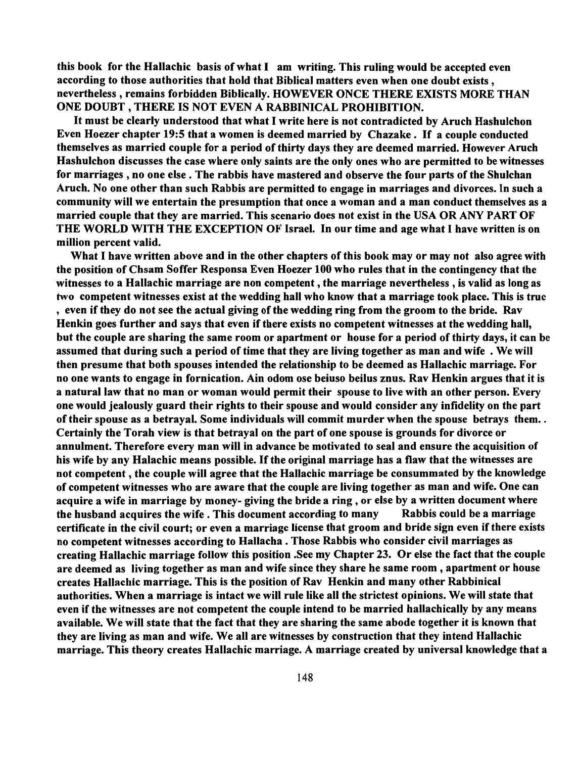this book for the Hallachic basis of what I am writing. This ruling would be accepted even according to those authorities that hold that Biblical matters even when one doubt exists, nevertheless, remains forbidden Biblically. HOWEVER ONCE THERE EXISTS MORE THAN ONE DOUBT, THERE IS NOT EVEN A RABBINICAL PROHIBITION.

It must be clearly understood that what I write here is not contradicted by Aruch Hashulchon Even Hoezer chapter 19:5 that a women is deemed married by Chazake. If a couple conducted themselves as married couple for a period of thirty days they are deemed married. However Aruch Hashulchon discusses the case where only saints are the only ones who are permitted to be witnesses for marriages, no one else. The rabbis have mastered and observe the four parts of the Shulchan Aruch. No one other than such Rabbis are permitted to engage in marriages and divorces. In such a community will we entertain the presumption that once a woman and a man conduct themselves as a married couple that they are married. This scenario does not exist in the USA OR ANY PART OF THE WORLD WITH THE EXCEPTION OF Israel. In our time and age what I have written is on million percent valid.

What I have written above and in the other chapters of this book may or may not also agree with the position of Chsam Soffer Responsa Even Hoezer 100 who rules that in the contingency that the witnesses to a Hallachic marriage are non competent, the marriage nevertheless, is valid as long as two competent witnesses exist at the wedding hall who know that a marriage took place. This is true , even if they do not see the actual giving of the wedding ring from the groom to the bride. Rav Henkin goes further and says that even if there exists no competent witnesses at the wedding hall, but the couple are sharing the same room or apartment or house for a period of thirty days, it can be assumed that during such a period of time that they are living together as man and wife . We will then presume that both spouses intended the relationship to be deemed as Hallachic marriage. For no one wants to engage in fornication. Ain odom ose beiuso beilus znus. Rav Henkin argues that it is a natural law that no man or woman would permit their spouse to live with an other person. Every one would jealously guard their rights to their spouse and would consider any infidelity on the part of their spouse as a betrayal. Some individuals will commit murder when the spouse betrays them .. Certainly the Torah view is that betrayal on the part of one spouse is grounds for divorce or annulment. Therefore every man will in advance be motivated to seal and ensure the acquisition of his wife by any Halachic means possible. If the original marriage has a flaw that the witnesses are not competent, the couple will agree that the Hallachic marriage be consummated by the knowledge of competent witnesses who are aware that the couple are living together as man and wife. One can acquire a wife in marriage by money- giving the bride a ring, or else by a written document where the husband acquires the wife. This document according to many Rabbis could be a marriage certificate in the civil court; or even a marriage license that groom and bride sign even if there exists no competent witnesses according to Hallacha . Those Rabbis who consider civil marriages as creating Hallachic marriage follow this position .See my Chapter 23. Or else the fact that the couple are deemed as living together as man and wife since they share he same room, apartment or house creates Hallachic marriage. This is the position of Rav Henkin and many other Rabbinical authorities. When a marriage is intact we will rule like all the strictest opinions. We will state that even if the witnesses are not competent the couple intend to be married hallachically by any means available. We will state that the fact that they are sharing the same abode together it is known that they are living as man and wife. We all are witnesses by construction that they intend Hallachic marriage. This theory creates Hallachic marriage. A marriage created by universal knowledge that a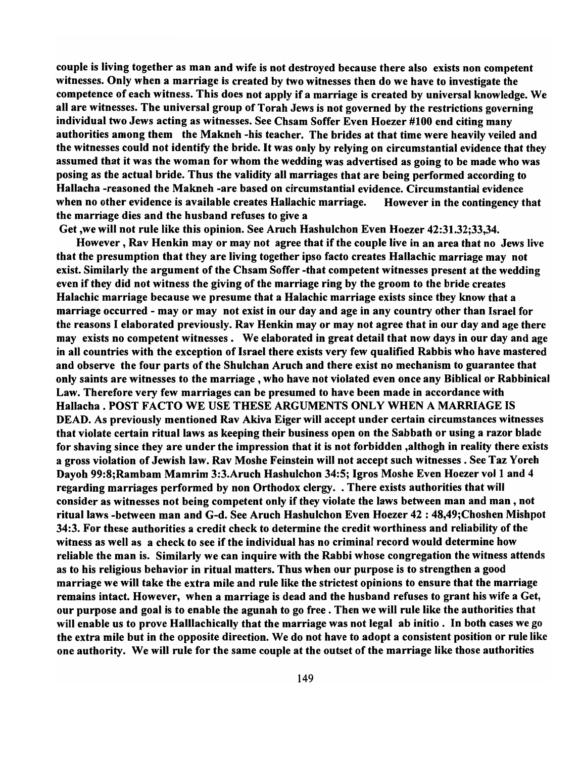couple is living together as man and wife is not destroyed because there also exists non competent witnesses. Only when a marriage is created by two witnesses then do we have to investigate the competence of each witness. This does not apply if a marriage is created by universal knowledge. We all are witnesses. The universal group of Torah Jews is not governed by the restrictions governing individual two Jews acting as witnesses. See Chsam Soffer Even Hoezer #100 end citing many authorities among them the Makneh -his teacher. The brides at that time were heavily veiled and the witnesses could not identify the bride. It was only by relying on circumstantial evidence that they assumed that it was the woman for whom the wedding was advertised as going to be made who was posing as the actual bride. Thus the validity all marriages that are being performed according to Hallacha -reasoned the Makneh -are based on circumstantial evidence. Circumstantial evidence when no other evidence is available creates Hallachic marriage. However in the contingency that the marriage dies and the husband refuses to give a

Get ,we will not rule like this opinion. See Aruch Hashulchon Even Hoezer 42:31.32;33,34.

However, Rav Henkin mayor may not agree that if the couple live in an area that no Jews live that the presumption that they are living together ipso facto creates Hallachic marriage may not exist. Similarly the argument of the Chsam Soffer -that competent witnesses present at the wedding even if they did not witness the giving of the marriage ring by the groom to the bride creates Halachic marriage because we presume that a Halachic marriage exists since they know that a marriage occurred - mayor may not exist in our day and age in any country other than Israel for the reasons I elaborated previously. Rav Henkin mayor may not agree that in our day and age there may exists no competent witnesses. We elaborated in great detail that now days in our day and age in all countries with the exception of Israel there exists very few qualified Rabbis who have mastered and observe the four parts of the Shulchan Aruch and there exist no mechanism to guarantee that only saints are witnesses to the marriage, who have not violated even once any Biblical or Rabbinical Law. Therefore very few marriages can be presumed to have been made in accordance with Hallacha • POST FACTO WE USE THESE ARGUMENTS ONLY WHEN A MARRIAGE IS DEAD. As previously mentioned Rav Akiva Eiger will accept under certain circumstances witnesses that violate certain ritual laws as keeping their business open on the Sabbath or using a razor blade for shaving since they are under the impression that it is not forbidden ,althogh in reality there exists a gross violation of Jewish law. Rav Moshe Feinstein will not accept such witnesses. See Taz Yoreh Dayoh 99:8; Rambam Mamrim 3:3. Aruch Hashulchon 34:5; Igros Moshe Even Hoezer vol 1 and 4 regarding marriages performed by non Orthodox clergy. • There exists authorities that will consider as witnesses not being competent only if they violate the laws between man and man, not ritual laws -between man and G-d. See Aruch Hashulchon Even Hoezer 42 : 48,49;Choshen Mishpot 34:3. For these authorities a credit check to determine the credit worthiness and reliability of the witness as well as a check to see if the individual has no criminal record would determine how reliable the man is. Similarly we can inquire with the Rabbi whose congregation the witness attends as to his religious behavior in ritual matters. Thus when our purpose is to strengthen a good marriage we will take the extra mile and rule like the strictest opinions to ensure that the marriage remains intact. However, when a marriage is dead and the husband refuses to grant his wife a Get, our purpose and goal is to enable the agunah to go free. Then we will rule like the authorities that will enable us to prove Halliachically that the marriage was not legal ab initio. In both cases we go the extra mile but in the opposite direction. We do not have to adopt a consistent position or rule like one authority. We will rule for the same couple at the outset of the marriage like those authorities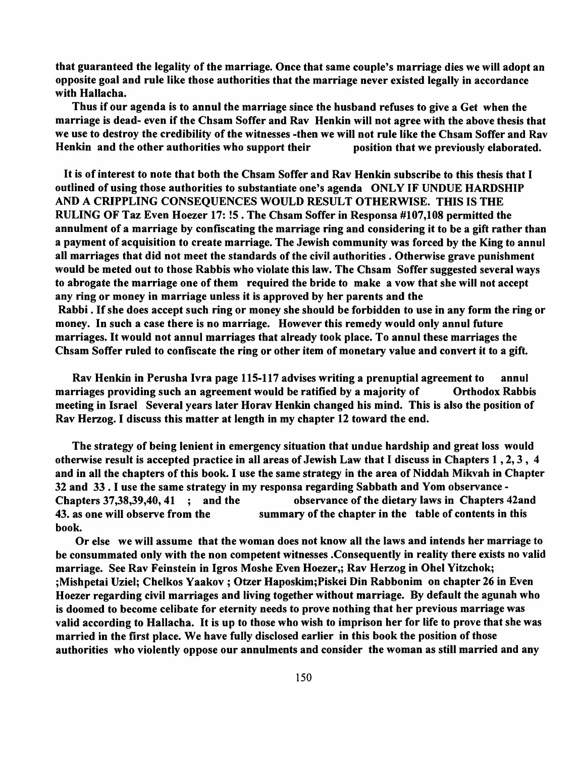that guaranteed the legality of the marriage. Once that same couple's marriage dies we will adopt an opposite goal and rule like those authorities that the marriage never existed legally in accordance with Hallacha.

Thus if our agenda is to annul the marriage since the husband refuses to give a Get when the marriage is dead- even if the Chsam Soffer and Rav Henkin will not agree with the above thesis that we use to destroy the credibility of the witnesses -then we will not rule like the Chsam Soffer and Rav Henkin and the other authorities who support their position that we previously elaborated.

It is of interest to note that both the Chsam Soffer and Rav Henkin subscribe to this thesis that I outlined of using those authorities to substantiate one's agenda ONLY IF UNDUE HARDSHIP AND A CRIPPLING CONSEQUENCES WOULD RESULT OTHERWISE. THIS IS THE RULING OF Taz Even Hoezer 17: !5 . The Chsam Soffer in Responsa #107,108 permitted the annulment of a marriage by confiscating the marriage ring and considering it to be a gift rather than a payment of acquisition to create marriage. The Jewish community was forced by the King to annul all marriages that did not meet the standards of the civil authorities. Otherwise grave punishment would be meted out to those Rabbis who violate this law. The Chsam Soffer suggested several ways to abrogate the marriage one of them required the bride to make a vow that she will not accept any ring or money in marriage unless it is approved by her parents and the Rabbi. If she does accept such ring or money she should be forbidden to use in any form the ring or money. In such a case there is no marriage. However this remedy would only annul future marriages. It would not annul marriages that already took place. To annul these marriages the Chsam Soffer ruled to confiscate the ring or other item of monetary value and convert it to a gift.

Rav Henkin in Perusha Ivra page 115-117 advises writing a prenuptial agreement to annul marriages providing such an agreement would be ratified by a majority of Orthodox Rabbis meeting in Israel Several years later Horav Henkin changed his mind. This is also the position of Rav Herzog. I discuss this matter at length in my chapter 12 toward the end.

The strategy of being lenient in emergency situation that undue hardship and great loss would otherwise result is accepted practice in all areas of Jewish Law that I discuss in Chapters 1 , 2, 3, 4 and in all the chapters of this book. I use the same strategy in the area of Niddah Mikvah in Chapter 32 and 33. I use the same strategy in my responsa regarding Sabbath and Yom observance - Chapters 37,38,39,40, 41 ; and the observance of the dietary laws in Chapters 42and 43. as one will observe from the summary of the chapter in the table of contents in this book.

Or else we will assume that the woman does not know all the laws and intends her marriage to be consummated only with the non competent witnesses .Consequently in reality there exists no valid marriage. See Rav Feinstein in Igros Moshe Even Hoezer,; Rav Herzog in Ohel Yitzchok; ;Mishpetai Uziel; Chelkos Yaakov ; Otzer Haposkim;Piskei Din Rabbonim on chapter 26 in Even Hoezer regarding civil marriages and living together without marriage. By default the agunah who is doomed to become celibate for eternity needs to prove nothing that her previous marriage was valid according to Hallacha. It is up to those who wish to imprison her for life to prove that she was married in the first place. We have fully disclosed earlier in this book the position of those authorities who violently oppose our annulments and consider the woman as still married and any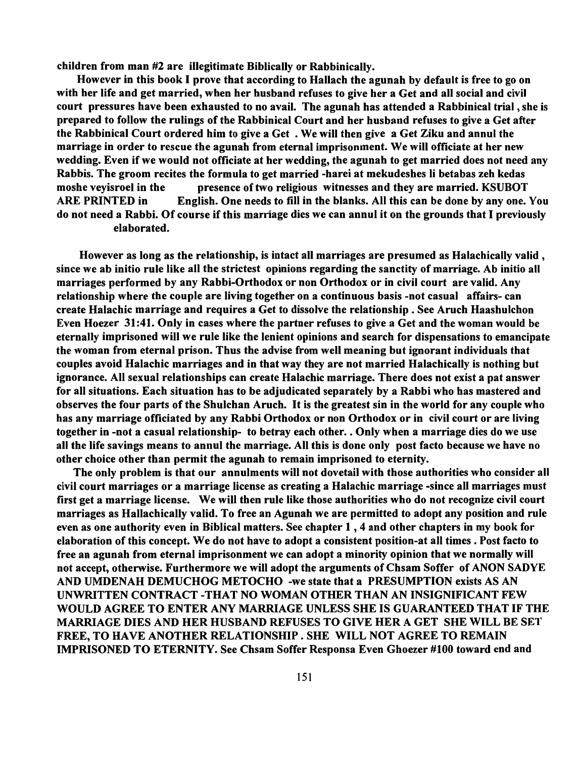children from man #2 are illegitimate Biblically or Rabbinically.

However in this book I prove that according to Hallach the agunah by default is free to go on with her life and get married, when her husband refuses to give her a Get and all social and civil court pressures have been exhausted to no avail. The agunah has attended a Rabbinical trial, she is prepared to follow the rulings of the Rabbinical Court and her husband refuses to give a Get after the Rabbinical Court ordered him to give a Get. We will then give a Get Ziku and annul the marriage in order to rescue the agunah from eternal imprisonment. We will officiate at her new wedding. Even if we would not officiate at her wedding, the agunah to get married does not need any Rabbis. The groom recites the formula to get married -harei at mekudeshes li betabas zeh kedas moshe veyisroel in the presence of two religious witnesses and they are married. KSUBOT ARE PRINTED in English. One needs to fill in the blanks. All this can be done by anyone. You do not need a Rabbi. Of course if this marriage dies we can annul it on the grounds that I previously elaborated.

However as long as the relationship, is intact all marriages are presumed as Halachically valid, since we ab initio rule like all the strictest opinions regarding the sanctity of marriage. Ab initio all marriages performed by any Rabbi-Orthodox or non Orthodox or in civil court are valid. Any relationship where the couple are living together on a continuous basis -not casual affairs- can create Halachic marriage and requires a Get to dissolve the relationship. See Aruch Haashulchon Even Hoezer 31:41. Only in cases where the partner refuses to give a Get and the woman would be eternally imprisoned will we rule like the lenient opinions and search for dispensations to emancipate the woman from eternal prison. Thus the advise from well meaning but ignorant individuals that couples avoid Halachic marriages and in that way they are not married Halachically is nothing but ignorance. All sexual relationships can create Halachic marriage. There does not exist a pat answer for all situations. Each situation has to be adjudicated separately by a Rabbi who has mastered and observes the four parts of the Shulchan Aruch. It is the greatest sin in the world for any couple who has any marriage officiated by any Rabbi Orthodox or non Orthodox or in civil court or are living together in -not a casual relationship- to betray each other .. Only when a marriage dies do we use all the life savings means to annul the marriage. All this is done only post facto because we have no other choice other than permit the agunah to remain imprisoned to eternity.

The only problem is that our annulments will not dovetail with those authorities who consider all civil court marriages or a marriage license as creating a Halachic marriage -since all marriages must first get a marriage license. We will then rule like those authorities who do not recognize civil court marriages as Hallachically valid. To free an Agunah we are permitted to adopt any position and rule even as one authority even in Biblical matters. See chapter 1 , 4 and other chapters in my book for elaboration of this concept. We do not have to adopt a consistent position-at all times. Post facto to free an agunah from eternal imprisonment we can adopt a minority opinion that we normally will not accept, otherwise. Furthermore we will adopt the arguments of Chsam Soffer of ANON SADYE AND UMDENAH DEMUCHOG METOCHO -we state that a PRESUMPTION exists AS AN UNWRITTEN CONTRACT -THAT NO WOMAN OTHER THAN AN INSIGNIFICANT FEW WOULD AGREE TO ENTER ANY MARRIAGE UNLESS SHE IS GUARANTEED THAT IF THE MARRIAGE DIES AND HER HUSBAND REFUSES TO GIVE HER A GET SHE WILL BE SET FREE, TO HAVE ANOTHER RELATIONSHIP. SHE WILL NOT AGREE TO REMAIN IMPRISONED TO ETERNITY. See Chsam Soffer Responsa Even Ghoezer #100 toward end and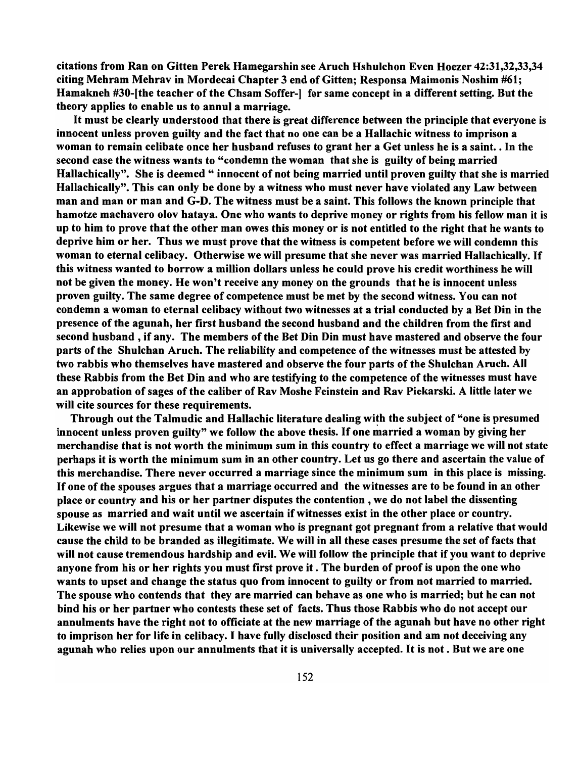citations from Ran on Gitten Perek Hamegarshin see Aruch Hshulchon Even Hoezer 42:31,32,33,34 citing Mehram Mehrav in Mordecai Chapter 3 end of Gitten; Responsa Maimonis Noshim #61; Hamakneh #30-Ithe teacher of the Chsam Soffer-1 for same concept in a different setting. But the theory applies to enable us to annul a marriage.

It must be clearly understood that there is great difference between the principle that everyone is innocent unless proven guilty and the fact that no one can be a Hallachic witness to imprison a woman to remain celibate once her husband refuses to grant her a Get unless he is a saint .. In the second case the witness wants to "condemn the woman that she is guilty of being married Hallachically". She is deemed " innocent of not being married until proven guilty that she is married Hallachically". This can only be done by a witness who must never have violated any Law between man and man or man and G-D. The witness must be a saint. This follows the known principle that hamotze machavero olov hataya. One who wants to deprive money or rights from his fellow man it is up to him to prove that the other man owes this money or is not entitled to the right that he wants to deprive him or her. Thus we must prove that the witness is competent before we will condemn this woman to eternal celibacy. Otherwise we will presume that she never was married Hallachically. If this witness wanted to borrow a million dollars unless he could prove his credit worthiness he will not be given the money. He won't receive any money on the grounds that he is innocent unless proven guilty. The same degree of competence must be met by the second witness. You can not condemn a woman to eternal celibacy without two witnesses at a trial conducted by a Bet Din in the presence of the agunah, her first husband the second husband and the children from the first and second husband, if any. The members of the Bet Din Din must have mastered and observe the four parts of the Shulchan Aruch. The reliability and competence of the witnesses must be attested by two rabbis who themselves have mastered and observe the four parts of the Shulchan Aruch. All these Rabbis from the Bet Din and who are testifying to the competence of the witnesses must have an approbation of sages of the caliber of Rav Moshe Feinstein and Rav Piekarski. A little later we will cite sources for these requirements.

Through out the Talmudic and Hallachic literature dealing with the subject of "one is presumed innocent unless proven guilty" we follow the above thesis. If one married a woman by giving her merchandise that is not worth the minimum sum in this country to effect a marriage we will not state perhaps it is worth the minimum sum in an other country. Let us go there and ascertain the value of this merchandise. There never occurred a marriage since the minimum sum in this place is missing. If one of the spouses argues that a marriage occurred and the witnesses are to be found in an other place or country and his or her partner disputes the contention, we do not label the dissenting spouse as married and wait until we ascertain if witnesses exist in the other place or country. Likewise we will not presume that a woman who is pregnant got pregnant from a relative that would cause the child to be branded as illegitimate. We will in all these cases presume the set of facts that will not cause tremendous hardship and evil. We will follow the principle that if you want to deprive anyone from his or her rights you must first prove it . The burden of proof is upon the one who wants to upset and change the status quo from innocent to guilty or from not married to married. The spouse who contends that they are married can behave as one who is married; but he can not bind his or her partner who contests these set of facts. Thus those Rabbis who do not accept our annulments have the right not to officiate at the new marriage of the agunah but have no other right to imprison her for life in celibacy. I have fully disclosed their position and am not deceiving any agunah who relies upon our annulments that it is universally accepted. It is not. But we are one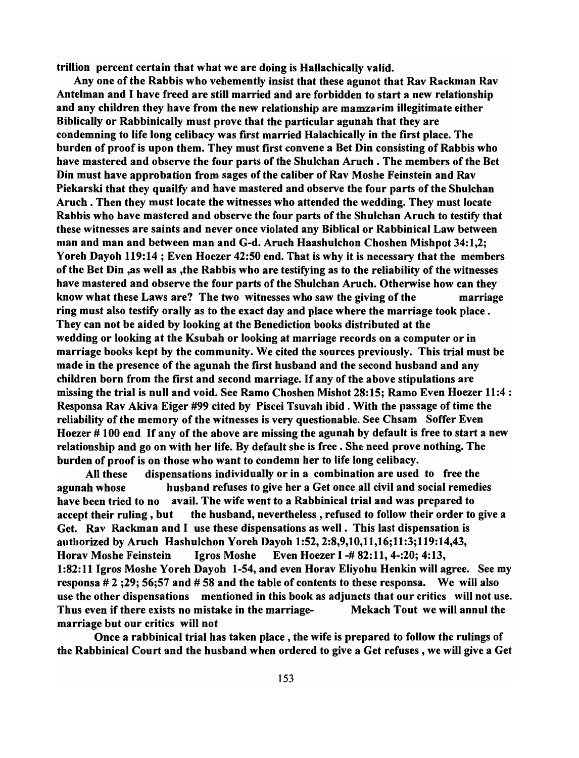trillion percent certain that what we are doing is Hallachically valid.

Any one of the Rabbis who vehemently insist that these agunot that Rav Rackman Rav Antelman and I have freed are still married and are forbidden to start a new relationship and any children they have from the new relationship are mamzarim illegitimate either Biblically or Rabbinically must prove that the particular agunah that they are condemning to life long celibacy was first married Halachically in the first place. The burden of proof is upon them. They must first convene a Bet Din consisting of Rabbis who have mastered and observe the four parts of the Shulchan Aruch . The members of the Bet Din must have approbation from sages of the caliber of Rav Moshe Feinstein and Rav Piekarski that they quailfy and have mastered and observe the four parts of the Shulchan Aruch . Then they must locate the witnesses who attended the wedding. They must locate Rabbis who have mastered and observe the four parts of the Shulchan Aruch to testify that these witnesses are saints and never once violated any Biblical or Rabbinical Law between man and man and between man and G-d. Aruch Haashulchon Choshen Mishpot 34:1.2; Yoreh Dayoh 119:14 ; Even Hoezer 42:50 end. That is why it is necessary that the members of the Bet Din ,as well as ,the Rabbis who are testifying as to the reliability of the witnesses have mastered and observe the four parts of the Shulchan Aruch. Otherwise how can they know what these Laws are? The two witnesses who saw the giving of the marriage ring must also testify orally as to the exact day and place where the marriage took place. They can not be aided by looking at the Benediction books distributed at the wedding or looking at the Ksubah or looking at marriage records on a computer or in marriage books kept by the community. We cited the sources previously. This trial must be made in the presence of the agunah the first husband and the second husband and any children born from the first and second marriage. If any of the above stipulations are missing the trial is null and void. See Ramo Choshen Mishot 28: 15; Ramo Even Hoezer 11:4 : Responsa Rav Akiva Eiger #99 cited by Piscei Tsuvah ibid. With the passage of time the reliability of the memory of the witnesses is very questionable. See Chsam Soffer Even Hoezer # 100 end If any of the above are missing the agunah by default is free to start a new relationship and go on with her life. By default she is free. She need prove nothing. The burden of proof is on those who want to condemn her to life long celibacy.

All these dispensations individually or in a combination are used to free the agunah whose husband refuses to give her a Get once all civil and social remedies have been tried to no avail. The wife went to a Rabbinical trial and was prepared to accept their ruling, but the husband, nevertheless, refused to follow their order to give a Get. Rav Rackman and I use these dispensations as well. This last dispensation is authorized by Aruch Hashulchon Yoreh Dayoh 1:52,2:8,9,10,11,16;11:3;119:14,43, Horav Moshe Feinstein Igros Moshe Even Hoezer I -# 82: 11, 4-:20; 4: 13, 1:82:11 Igros Moshe Yoreh Dayoh 1-54, and even Horav Eliyohu Henkin will agree. See my responsa  $# 2$ ; 29; 56; 57 and  $# 58$  and the table of contents to these responsa. We will also use the other dispensations mentioned in this book as adjuncts that our critics will not use. Thus even if there exists no mistake in the marriage- Mekach Tout we will annul the marriage but our critics will not

Once a rabbinical trial has taken place, the wife is prepared to follow the rulings of the Rabbinical Court and the husband when ordered to give a Get refuses, we will give a Get